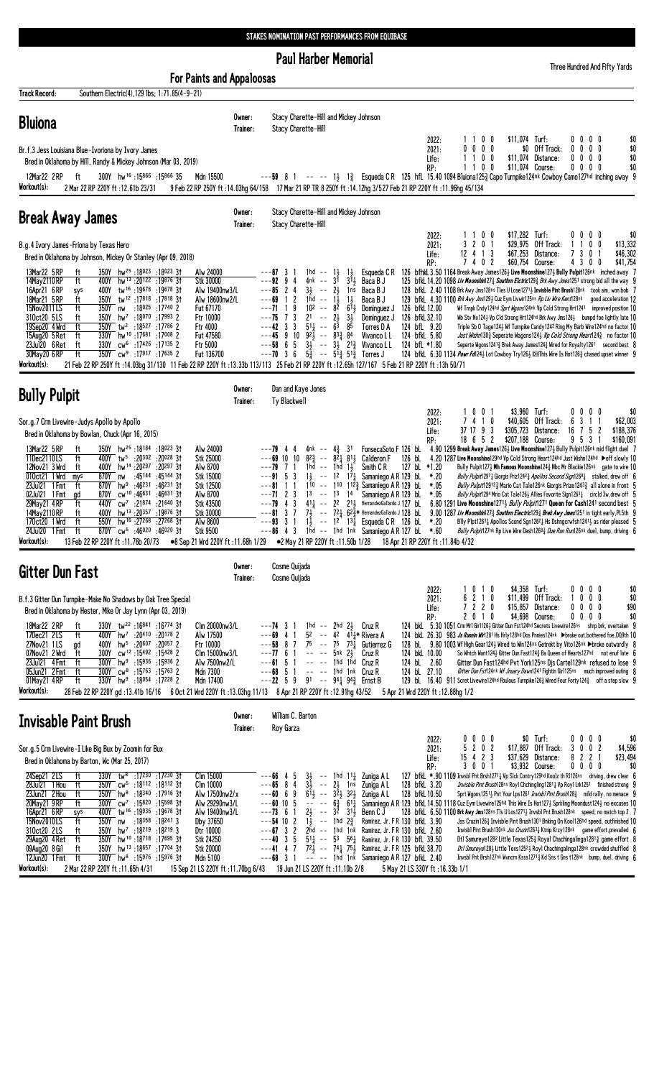## STAKES NOMINATION PAST PERFORMANCES FROM EQUIBASE

**Paul Harber Memorial** 

Three Hundred And Fifty Yards

| <b>For Paints and Appaloosas</b>                                                                                                                                                                                                                                                                                                                                                                                                                                                                                                                                                                                                                                                                                                                                                                                                                                                                                                              |                    |                                                                                                                                                                                                                                                                                                                                                                                                                                                                                                                                                                                                                                                                                                                                                                                                                                                                                                                                                                                                                                                                                                                                                                                                                                                                                                                                                                                                                                                                                                                                                                                                                                                                                                                                                                                                                                                                                                                                                                                                                          |                                                                           |
|-----------------------------------------------------------------------------------------------------------------------------------------------------------------------------------------------------------------------------------------------------------------------------------------------------------------------------------------------------------------------------------------------------------------------------------------------------------------------------------------------------------------------------------------------------------------------------------------------------------------------------------------------------------------------------------------------------------------------------------------------------------------------------------------------------------------------------------------------------------------------------------------------------------------------------------------------|--------------------|--------------------------------------------------------------------------------------------------------------------------------------------------------------------------------------------------------------------------------------------------------------------------------------------------------------------------------------------------------------------------------------------------------------------------------------------------------------------------------------------------------------------------------------------------------------------------------------------------------------------------------------------------------------------------------------------------------------------------------------------------------------------------------------------------------------------------------------------------------------------------------------------------------------------------------------------------------------------------------------------------------------------------------------------------------------------------------------------------------------------------------------------------------------------------------------------------------------------------------------------------------------------------------------------------------------------------------------------------------------------------------------------------------------------------------------------------------------------------------------------------------------------------------------------------------------------------------------------------------------------------------------------------------------------------------------------------------------------------------------------------------------------------------------------------------------------------------------------------------------------------------------------------------------------------------------------------------------------------------------------------------------------------|---------------------------------------------------------------------------|
| Track Record:<br>Southern Electric(4), 129 lbs; 1:71.85(4-9-21)<br><b>Bluiona</b>                                                                                                                                                                                                                                                                                                                                                                                                                                                                                                                                                                                                                                                                                                                                                                                                                                                             | Owner:<br>Trainer: | Stacy Charette-Hill and Mickey Johnson<br>Stacy Charette-Hill<br>0 <sub>0</sub><br>\$11,074 Turf:<br>2022:<br>$0\,0\,0\,0$                                                                                                                                                                                                                                                                                                                                                                                                                                                                                                                                                                                                                                                                                                                                                                                                                                                                                                                                                                                                                                                                                                                                                                                                                                                                                                                                                                                                                                                                                                                                                                                                                                                                                                                                                                                                                                                                                               | \$0                                                                       |
| Br.f.3 Jess Louisiana Blue-Ivoriona by Ivory James<br>Bred in Oklahoma by Hill, Randy & Mickey Johnson (Mar 03, 2019)<br>300Y hw <sup>16</sup> :15866:1586635<br>Mdn 15500<br>12Mar22 2RP<br>ft<br>Workout(s):<br>2 Mar 22 RP 220Y ft: 12.61b 23/31                                                                                                                                                                                                                                                                                                                                                                                                                                                                                                                                                                                                                                                                                           |                    | $0\ 0\ 0\ 0$<br>\$0 Off Track:<br>$0\ 0\ 0\ 0$<br>2021:<br>1100<br>$0\ 0\ 0\ 0$<br>\$11,074 Distance:<br>Life:<br>1 1 0 0<br>\$11,074 Course:<br>$0\ 0\ 0\ 0$<br>RP:<br>---59 8 1 -- -- 1} 1} Esqueda CR 125 hfL 15.40 1094 Bluiona 125 } Capo Turnpike 124nk Cowboy Camo 127hd inching away 9<br>9 Feb 22 RP 250Y ft:14.03hg 64/158 17 Mar 21 RP TR 8 250Y ft:14.12hg 3/527 Feb 21 RP 220Y ft:11.96hg 45/134                                                                                                                                                                                                                                                                                                                                                                                                                                                                                                                                                                                                                                                                                                                                                                                                                                                                                                                                                                                                                                                                                                                                                                                                                                                                                                                                                                                                                                                                                                                                                                                                            | \$0<br>\$0<br>\$0                                                         |
| <b>Break Away James</b>                                                                                                                                                                                                                                                                                                                                                                                                                                                                                                                                                                                                                                                                                                                                                                                                                                                                                                                       | Owner:<br>Trainer: | Stacy Charette-Hill and Mickey Johnson<br>Stacy Charette-Hill                                                                                                                                                                                                                                                                                                                                                                                                                                                                                                                                                                                                                                                                                                                                                                                                                                                                                                                                                                                                                                                                                                                                                                                                                                                                                                                                                                                                                                                                                                                                                                                                                                                                                                                                                                                                                                                                                                                                                            |                                                                           |
| B.g.4 Ivory James-Friona by Texas Hero<br>Bred in Oklahoma by Johnson, Mickey Or Stanley (Apr 09, 2018)                                                                                                                                                                                                                                                                                                                                                                                                                                                                                                                                                                                                                                                                                                                                                                                                                                       |                    | \$17,282 Turf:<br>1100<br>0000<br>2022:<br>3 2 0 1<br>\$29,975<br>Off Track:<br>2021:<br>$12$ 4 1 3<br>\$67,253<br>Distance:<br>3<br>7<br>Life:<br>7402<br>\$60,754 Course:<br>430<br>RP:                                                                                                                                                                                                                                                                                                                                                                                                                                                                                                                                                                                                                                                                                                                                                                                                                                                                                                                                                                                                                                                                                                                                                                                                                                                                                                                                                                                                                                                                                                                                                                                                                                                                                                                                                                                                                                | \$0<br>0 <sub>0</sub><br>\$13,332<br>0<br>\$46,302<br>-1<br>\$41,754<br>0 |
| 350Y hw <sup>25</sup> :18023:1802331<br>13Mar22 5 RP<br>Alw 24000<br>ft<br>14May 2110 RP<br>ft<br>hw <sup>13</sup> :20 <sup>122</sup> :1987631<br>400Y<br><b>Stk 30000</b><br>16Apr21 6RP<br>400Y<br>tw <sup>16</sup> :19678:1967831<br>Alw 19400nw3/L<br>sys<br>18Mar21 5 RP<br>ft<br>tw <sup>12</sup> :17818:178183†<br>Alw 18600nw2/L<br>350Y<br>15Nov2011LS<br>ft<br>350Y nw :18025 :17740 2<br>Fut 67170<br>310ct20 5LS<br>350Y<br>hw <sup>7</sup> :18 <sup>070</sup> :179932<br>Ftr 10000<br>ft<br>ft<br>19Sep20 4 Wrd<br>350Y tw <sup>2</sup> :18527 :17786 2<br>Ftr 4000<br>330Y hw <sup>10</sup> :17681:17008 2<br>15Aug20 5 Ret<br>ft<br>Fut 47580<br>23Jul20 6 Ret<br>cw <sup>6</sup> :17426 :17135 2<br>Ftr 5000<br>ft<br>330Y<br>350Y cw <sup>9</sup> :17917 :17635 2<br>30May20 6RP<br>ft<br>Fut 136700<br>Workout(s):                                                                                                          |                    | 126 bfhkl 3.50 1164 Break Away James126½ Live Moonshine127½ Bully Pulpit126nk inched away 7<br>$---87$ 3 1<br>$1hd - 1\frac{1}{2}$<br>$1\frac{1}{2}$<br>Esqueda C R<br>---92<br>94<br>3 <sup>1</sup><br>$31$ Baca B J<br>125 bfkl 14.20 1098 Liv Moonshin 273 Southrn Eletric 293 Brk Awy Jmes1251 strong bid all the way 9<br>4nk --<br>$3\frac{1}{2}$ -- $2\frac{1}{2}$<br>$---85$ 2 4<br>1ns<br>Baca B J<br>128 bfkl 2.40 1108 Brk Awy Jms128ns Tles U Lose1271 2 Invisble Pint Brush128nk took aim, won bob 7<br>$1\frac{1}{2}$<br>$\overline{c}$<br>1hd -- $1\frac{1}{2}$<br>Baca B J<br>129 bfkl. 4.30 1100 Brk Awy Jms1293 Cuz Eym Livwir125ns Rp Liv Wire Kent128nk<br>---69<br>- 1<br>$10^2$ -- $8^5$<br>9<br>$6^{11}$<br>---71 1<br>126 bfkL 12.00<br>Dominguez J<br>Wf Trnpk Cndy124hd Sprt Wgons124nk Vp Cold Strong Hrt1241 improved position 10<br>$---75$ 7 3<br>$2^1$ -- $2^1_2$<br>$3\frac{1}{2}$<br>126 bfkL 32.10<br>Dominguez J<br>Wb Stv Nx124 $\frac{1}{2}$ Vp Cld Strong Hrt124hd Brk Awy Jms126 $\frac{1}{2}$ bumpd foe lightly late 10<br>$\overline{5}$ <sup>1</sup> $\frac{1}{4}$ -- $\overline{6}$ <sup>5</sup><br>85<br>$---42$ 3 3<br>124 bfL 9.20<br>Triple Sb 0 Tage1243 Wf Turnpike Candy1242 Ring My Barb Wire124hd no factor 10<br>Torres D A<br>$---45$ 9 10 92 $\frac{7}{2}$ $---$ 83 $\frac{3}{4}$ 84<br>124 bfkL 5.80<br>Vivanco L L<br>Just Wishn1303 Seperate Wagons1243 Vp Cold Strong Heart1243 no factor 10<br>$---58$ 6 5<br>$3\frac{1}{2}$ -- $3\frac{1}{2}$ 2 <sup>13</sup> / <sub>4</sub> Vivanco L L<br>124 bfL *1.80<br>Seperte Wgons1241 $\frac{3}{4}$ Brek Away James124 $\frac{3}{4}$ Wired for Royalty1261 second best 8<br>$---70$ 3 6<br>$5\frac{3}{4}$ -- $5^{1}\frac{3}{4}$ 5 <sup>1</sup> $\frac{3}{4}$ Torres J<br>124 bfkL 6.30 1134 Powr Fd1243 Lot Cowboy Try1263 MIThis Wire Is Hot1263 chased upset winner 9<br>21 / 13h 50/71 12 / 12.65h 127/167 5 Feb 21 RP 220Y ft :13.39b 113/113 25 Feb 21 RP 220Y ft :12.65h 127/167 5 Feb 21 RP 220Y ft :13h 50 | good acceleration 12                                                      |
| <b>Bully Pulpit</b>                                                                                                                                                                                                                                                                                                                                                                                                                                                                                                                                                                                                                                                                                                                                                                                                                                                                                                                           | Owner:<br>Trainer: | Dan and Kaye Jones<br>Ty Blackwell                                                                                                                                                                                                                                                                                                                                                                                                                                                                                                                                                                                                                                                                                                                                                                                                                                                                                                                                                                                                                                                                                                                                                                                                                                                                                                                                                                                                                                                                                                                                                                                                                                                                                                                                                                                                                                                                                                                                                                                       |                                                                           |
| Sor.g.7 Crm Livewire-Judys Apollo by Apollo<br>Bred in Oklahoma by Bowlan, Chuck (Apr 16, 2015)                                                                                                                                                                                                                                                                                                                                                                                                                                                                                                                                                                                                                                                                                                                                                                                                                                               |                    | \$3,960 Turf:<br>1001<br>0000<br>2022:<br>3<br>2021:<br>7410<br>\$40,605<br>Off Track:<br>6<br>37 17 9 3<br>\$305,723<br>Distance:<br>16<br>7<br>Life:<br>18 6 5 2<br>\$207,188 Course:<br>953<br>RP:                                                                                                                                                                                                                                                                                                                                                                                                                                                                                                                                                                                                                                                                                                                                                                                                                                                                                                                                                                                                                                                                                                                                                                                                                                                                                                                                                                                                                                                                                                                                                                                                                                                                                                                                                                                                                    | \$0<br>1 1<br>\$62,003<br>5<br>-2<br>\$188,376<br>\$160,091               |
| 13Mar22 5 RP<br>350Y hw <sup>25</sup> :18184 :18023 31<br>Alw 24000<br>ft<br>11Dec2110LS<br>400Y tw <sup>5</sup> :20 <sup>302</sup> :20 <sup>028</sup> 31<br>Stk 25000<br>ft<br>12Nov21 3 Wrd<br>400Y hw <sup>14</sup> :20297<br>:20 <sup>297</sup> 31<br>Alw 8700<br>ft<br>010ct21 1 Wrd<br>870Y nw<br>:45144 :45144 31<br>Stk 15000<br>mys<br>23Jul21 1 Fmt<br>870Y<br>hw <sup>9</sup><br>:46231<br>:46231 31<br>Stk 12500<br>ft<br>870Y cw <sup>10</sup> :46631<br>:46631 3†<br>Alw 8700<br>02Jul21 1 Fmt<br>gd<br>29May21 4RP<br>ft<br>440Y cw <sup>7</sup> :21874<br>:21640 3†<br>Stk 43500<br>14May 2110 RP<br>ft<br>hw <sup>13</sup> :20 <sup>357</sup><br>:19876 3†<br>Stk 30000<br>400Y<br>ft<br>550Y hw <sup>16</sup> :27268 :27268 3t<br>170ct20 1 Wrd<br>Alw 8600<br>24Jul20 1 Fmt<br>870Y $cw^5$ :46020<br>:46020 3†<br>Stk 9500<br>ft<br>Workout(s):<br>13 Feb 22 RP 220Y ft: 11.76b 20/73<br>●8 Sep 21 Wrd 220Y ft:11.68h 1/29 |                    | 4nk -- $4\frac{3}{4}$ 31<br>FonsecaSoto F 126 bL<br>4.90 1299 Break Away James1263 Live Moonshine1273 Bully Pulpit126nk mid flight duel 7<br>$---79$ 4 4<br>$8^{2}\frac{3}{4}$ -- $8^{2}\frac{1}{4}$ $8^{1}\frac{1}{2}$ Calderon F<br>126 bL<br>$---69$ 10 10<br>4.20 1287 Live Moonshine129hd Vp Cold Strong Heart124hd Just Wishn124hd Doff slowly 10<br>$--$ 1hd $1\frac{1}{2}$<br>Smith C R<br>127 bL *1.20<br>---79<br>71<br>1hd<br>Bully Pulpit1273 Mh Famous Moonshine1243 Nbc Mr Blackie126nk gate to wire 10<br>$---91 \quad 5 \quad 3$<br>1 $\frac{1}{2}$ -- 1 <sup>2</sup> 1 <sup>7</sup> $\frac{1}{4}$ Samaniego A R 129 bL<br>*.20<br>Bully Pulpit1297 <sub>4</sub> Giorgis Priz1242 <sub>4</sub> Apollos Second Sign1268 <sub>4</sub> stalked, drew off 6<br>110 -- 110 112 <sup>3</sup> / <sub>3</sub> Samaniego A R 129 bL<br>$*.05$<br>Bully Pulpit129123 Mario Cat Tale126nk Giorgis Prize12433 all alone in front 5<br>---81<br>-1-1<br>$---71$ 2 3<br>13 -- 13 14<br>Samaniego A R 129 bl<br>*.05<br>Bully Pulpit1294 Mrio Cat Tale1263 Allies Favorite Sign12631 circld 3w, drew off 5<br>43<br>$41\frac{1}{4}$ -- 2 <sup>2</sup> 2 <sup>1</sup> <sup>3</sup> HernandezGallardo J 127 <b>bl</b><br>6.80 1291 Live Moonshine12713 Bully Pulpit1271 Queen for Cash1241 second best 5<br>$---81 \quad 3 \quad 7$<br>7} -- 72 $\frac{1}{4}$ 62 $\frac{3}{4}$ * HernandezGallardo J 128 bl<br>9.00 1287 Liv Moonshin 273 Southrn Electric 293 Brek Awy Jmes 251 in tight early, PL5th 9<br>$1\frac{1}{2}$ -- $1^2$ $1^3\frac{1}{4}$ Esqueda C R 126 bL<br>31<br>*.20<br>---93<br>Bily Plpt1263 <sub>4</sub> Apollos Scond Sgn1262 <sub>4</sub> Hs Dshngcrwfsh1241 <sub>2</sub> as rider pleased 5<br>1hd -- 1hd 1nk Samaniego AR 127 bl.<br>Bully Pulpit127nk Rp Live Wire Dash12683 Due Run Run126nk duel, bump, driving 6<br>$---86$ 4 3<br>*.60<br>●2 May 21 RP 220Y ft:11.50b 1/28<br>18 Apr 21 RP 220Y ft :11.84b 4/32                                                                              |                                                                           |
| <b>Gitter Dun Fast</b>                                                                                                                                                                                                                                                                                                                                                                                                                                                                                                                                                                                                                                                                                                                                                                                                                                                                                                                        | Owner:<br>Trainer: | Cosme Quijada<br>Cosme Quijada                                                                                                                                                                                                                                                                                                                                                                                                                                                                                                                                                                                                                                                                                                                                                                                                                                                                                                                                                                                                                                                                                                                                                                                                                                                                                                                                                                                                                                                                                                                                                                                                                                                                                                                                                                                                                                                                                                                                                                                           |                                                                           |
| B.f.3 Gitter Dun Turnpike-Make No Shadows by Oak Tree Special<br>Bred in Oklahoma by Hester, Mike Or Jay Lynn (Apr 03, 2019)<br>330Y tw <sup>22</sup> :16841:16774 31<br>Clm 20000nw3/L<br>18Mar22 2RP<br>ft<br>17Dec21 2LS<br>ft<br>400Y hw <sup>7</sup> :20410 :20178 2<br>Alw 17500<br>27Nov21 1LS<br>400Y hw <sup>5</sup> :20 <sup>607</sup> :20 <sup>057</sup> 2<br>Ftr 10000<br>gd<br>300Y cw <sup>12</sup> :15492:15428 2<br>07Nov21 2 Wrd<br>Clm 15000nw3/L<br>ft<br>Alw 7500nw2/L<br>23Jul21 4 Fmt<br>ft<br>300Y hw <sup>9</sup> :15936 :15936 2<br>05Jun21 2 Fmt<br>ft<br>$300Y$ cw <sup>8</sup> :15763 :15763 2<br>Mdn 7300<br>01May21 4RP<br>ft<br>330Y hw <sup>9</sup> :18054 :17228 2<br>Mdn 17400<br>Workout(s):<br>28 Feb 22 RP 220Y gd:13.41b 16/16 6 Oct 21 Wrd 220Y ft:13.03hg 11/13 8 Apr 21 RP 220Y ft:12.91hg 43/52                                                                                                     |                    | \$4,358 Turf:<br>0000<br>2022:<br>1010<br>6 2 1 0<br>\$11,499 Off Track:<br>1000<br>2021:<br>7 2 2 0<br>\$15,857 Distance:<br>$0\,0\,0\,0$<br>Life:<br>RP:<br>2010<br>\$4,698 Course:<br>0000<br>124 bkl 5.30 1051 Crm Mrl Girl126} Gitter Dun Fst124hd Secrets Livewire126ns shrp brk, overtaken 9<br>1hd $-$ 2hd $2\frac{1}{2}$ Cruz R<br>$---74$ 3 1<br>---69<br>52 -- 42 $4^{11}$ Rivera A<br>124 bkl 26.30 983 Js Runnin Wirl 281 Hs Hrly128hd Dos Pnnies124nk >broke out, bothered foe, DQ9th 10<br>41<br>75 -- 75 73 $\frac{1}{4}$ Gutierrez G<br>$---58$ 8 7<br>128 bl. 9.80 1003 Wf High Gear1243 Wired to Win124ns Getrekt by Vito126nk >broke outwardly 8<br>$---77$ 6 1<br>$--- 5nk$ 2 $\frac{1}{2}$ Cruz R<br>So Whitch Want124 $\frac{1}{2}$ Gitter Dun Fast124 $\frac{3}{4}$ Ba Queen of Hearts127hd not enuf late 6<br>124 bkL 10.00<br>$--61$ 5 1<br>$---$ 1hd 1hd Cruz R<br>124 bL 2.60<br>Gitter Dun Fast124hd Pvt York125ns Djs Cartel129nk refused to lose 9<br>$--68$ 5 1<br>$---$ 1hd 1nk Cruz R<br>124 bL 27.10<br>Gitter Dun Fst124nk Wf Jnuary Dawn1241 Fightin Girl125ns much improved outing 8<br>$---22 5 9$<br>91 -- 94 $\frac{1}{4}$ 94 $\frac{3}{4}$ Ernst B<br>129 bL 16.40 911 Scret Livewire 124hd Fbulous Turnpike 126 <sup>3</sup> Wired Four Forty 124 $\frac{3}{4}$ off a step slow 9<br>5 Apr 21 Wrd 220Y ft : 12.88hg 1/2                                                                                                                                                                                                                                                                                                                                                                                                                                                                                                                                                                                                                                                       | \$0<br>\$0<br>\$90<br>\$0                                                 |
| Invisable Paint Brush                                                                                                                                                                                                                                                                                                                                                                                                                                                                                                                                                                                                                                                                                                                                                                                                                                                                                                                         | Owner:<br>Trainer: | William C. Barton<br>Roy Garza<br>$0\ 0\ 0\ 0$<br>\$0 Turf:<br>0000                                                                                                                                                                                                                                                                                                                                                                                                                                                                                                                                                                                                                                                                                                                                                                                                                                                                                                                                                                                                                                                                                                                                                                                                                                                                                                                                                                                                                                                                                                                                                                                                                                                                                                                                                                                                                                                                                                                                                      | \$0                                                                       |
| Sor.g.5 Crm Livewire-I Like Big Bux by Zoomin for Bux<br>Bred in Oklahoma by Barton, Wc (Mar 25, 2017)<br>24Sep21 2LS<br>330Y tw <sup>8</sup> :17 <sup>230</sup> :17 <sup>230</sup> 31<br>Clm 15000<br>ft<br>350Y cw <sup>5</sup> :18112 :18112 31<br>28Jul21 1 Hou<br>ft<br>Clm 10000<br>23Jun21 2 Hou<br>ft<br>350Y hw <sup>8</sup> :18340 :17916 31<br>Alw 17500nw2/x<br>20May21 9RP<br>ft<br>300Y cw <sup>7</sup> :15820 :15598 3t<br>Alw 29290nw3/L<br>400Y tw <sup>16</sup> :19936:1967831<br>16Apr21 6RP<br>Alw 19400nw3/L<br>sys<br>15Nov2010LS<br>ft<br>350Y nw<br>:18 <sup>358</sup> :18 <sup>241</sup> 3<br>Dby 37650<br>310ct20 2LS<br>hw <sup>7</sup> :18 <sup>219</sup> :18 <sup>219</sup> 3<br>Dtr 10000<br>ft<br>350Y<br>ft<br>350Y hw <sup>10</sup> :18718:17695 3t<br>29Aug20 4 Ret<br>Stk 24250                                                                                                                            |                    | 2022:<br>5202<br>\$17,887 Off Track:<br>3 0 0 2<br>2021:<br>$15$ 4 2 3<br>\$37,629<br>82<br>Distance:<br>Life:<br>3001<br>\$3,932 Course:<br>$0\,0\,0\,0$<br>RP:<br>$3\frac{1}{2}$ -- 1hd 11 $\frac{1}{4}$ Zuniga A L<br>127 bfkl. *. 90 1109 Invsbl Pnt Brsh1271 & Vp Slck Contry129hd Koolz th R1126ns driving, drew clear 6<br>45<br>---66<br>$3\frac{1}{2}$ -- $2\frac{1}{2}$ 1 ns<br>6 <sup>1</sup> <sub>2</sub> -- $3\frac{2}{2}$ $3\frac{2}{2}$<br>128 bfkL 3.20<br>$---65$ 8 4<br>Zuniga A L<br>Invisble Pint Brush128ns Roy1 Chchingling1281 <sub>4</sub> Vp Roy1 Lrk1251 finished strong 9<br>$---60$ 6 9<br>Zuniga A L<br>128 bfkL 10.50<br>Sprt Wgons12513 Pnt Your Lps1261 <i>Invisbl Pint Brush</i> 1283 mild rally, no menace 9<br>$---60$ 10 5<br>$   6\frac{3}{4}$ $61\frac{1}{4}$<br>Samaniego A R 129 bfkl 14.50 1118 Cuz Eym Livewire125hd This Wire Is Hot1273 Sprkling Moondust1243 no excuses 10<br>$2\frac{1}{2}$<br>32<br>$---73$ 6 1<br>$\sim$ $-$<br>$3^{11}$<br>Benn C J<br>128 bfkL 6.50 1100 Brk Awy Jms128ns Tls U Los1271 Envsbl Pnt Brush128nk speed, no match top 2 7<br>$1\overline{3}$ -- 1hd $2\overline{3}$<br>$---54$ 10 2<br>Ramirez, Jr. FR 130 bfkL 3.90<br>Jss Cruzin1263 Invisble Pint Brush1301 Bnking On Kool126hd speed, outfinished 10<br>$---67$ 3 2<br>2hd -- 1hd 1nk Ramirez, Jr. FR 130 bfkL 2.60<br>Invisbl Pint Brush130nk Jss Cruzin12631 Ktnip Krzy128nk game effort, prevailed 6<br>$---40$ 3 5<br>$51\frac{1}{4}$ -- 53 56 Ramirez, Jr. FR 130 bfL 39.50<br>Dtl Samureye1282 Little Texas125 $\frac{3}{4}$ Royal Chachingalinga1281 $\frac{3}{4}$ game effort 8                                                                                                                                                                                                                                                                                                                                                                                                | \$4,596<br>2 <sub>1</sub><br>\$23,494<br>\$0                              |
| 09Aug20 8 Gil<br>350Y hw <sup>13</sup> :18657:17704 3t<br>Stk 20000<br>ft<br>12Jun20 1 Fmt<br>ft<br>300Y hw <sup>8</sup> :15976 :15976 31<br>Mdn 5100<br>Workout(s):<br>2 Mar 22 RP 220Y ft : 11.65h 4/31                                                                                                                                                                                                                                                                                                                                                                                                                                                                                                                                                                                                                                                                                                                                     |                    | $72\frac{1}{2}$ -- $74\frac{1}{4}$ $75\frac{1}{2}$ Ramirez, Jr. FR 125 bfkL 38.70<br>47<br>Dtl Smureye128} Little Texs125 <sup>2</sup> } Royl Chachingalinga128nk crowded shuffled 8<br>---41<br>$---68$ 3 1<br>$---$ 1hd 1nk Samaniego AR 127 bfkL 2.40<br>Invsbl Pnt Brsh127nk Wyncrn Ksss12713 Kd Sns t Gns t128nk bump, duel, driving 6<br>15 Sep 21 LS 220Y ft: 11.70bg 6/43 19 Jun 21 LS 220Y ft: 11.10b 2/8<br>5 May 21 LS 330Y ft: 16.33b 1/1                                                                                                                                                                                                                                                                                                                                                                                                                                                                                                                                                                                                                                                                                                                                                                                                                                                                                                                                                                                                                                                                                                                                                                                                                                                                                                                                                                                                                                                                                                                                                                    |                                                                           |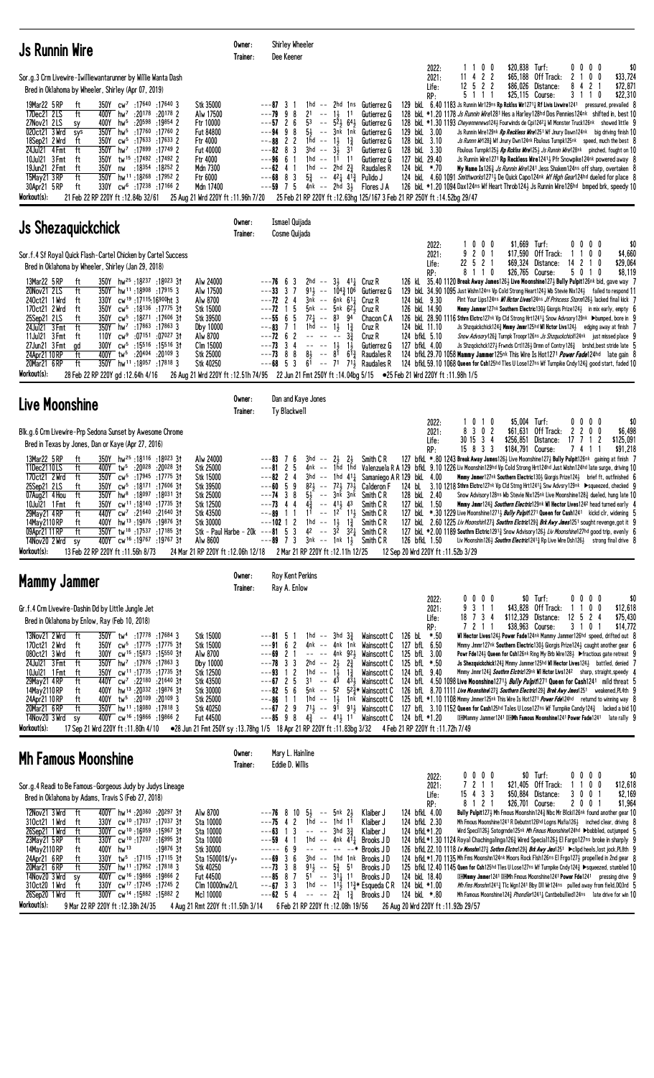| <b>Js Runnin Wire</b>                                                                                                                                                                                                                                                                                                                                                                                                                                                                                                                                                                                                                                                                                                                                                                                                                                                                                                                                                                                                                                                                               | Owner:<br>Trainer: | Shirley Wheeler<br>Dee Keener                                                                                                                                                                                                                                                                                                                                                                                     |                                                                                                                                                                                                                                                                                                                   |                                                                                                                        |                                                                                                                                     |                                                                                                   |                                                                                       |                                                                                                                                                                                                                                                                                                                                                                                                                                                                                                                                                                                                                                                                                                                                                                                                                                                                                                                                                                                                                                                                                                                                                                                                           |
|-----------------------------------------------------------------------------------------------------------------------------------------------------------------------------------------------------------------------------------------------------------------------------------------------------------------------------------------------------------------------------------------------------------------------------------------------------------------------------------------------------------------------------------------------------------------------------------------------------------------------------------------------------------------------------------------------------------------------------------------------------------------------------------------------------------------------------------------------------------------------------------------------------------------------------------------------------------------------------------------------------------------------------------------------------------------------------------------------------|--------------------|-------------------------------------------------------------------------------------------------------------------------------------------------------------------------------------------------------------------------------------------------------------------------------------------------------------------------------------------------------------------------------------------------------------------|-------------------------------------------------------------------------------------------------------------------------------------------------------------------------------------------------------------------------------------------------------------------------------------------------------------------|------------------------------------------------------------------------------------------------------------------------|-------------------------------------------------------------------------------------------------------------------------------------|---------------------------------------------------------------------------------------------------|---------------------------------------------------------------------------------------|-----------------------------------------------------------------------------------------------------------------------------------------------------------------------------------------------------------------------------------------------------------------------------------------------------------------------------------------------------------------------------------------------------------------------------------------------------------------------------------------------------------------------------------------------------------------------------------------------------------------------------------------------------------------------------------------------------------------------------------------------------------------------------------------------------------------------------------------------------------------------------------------------------------------------------------------------------------------------------------------------------------------------------------------------------------------------------------------------------------------------------------------------------------------------------------------------------------|
| Sor.g.3 Crm Livewire-Iwilliewantarunner by Willie Wanta Dash<br>Bred in Oklahoma by Wheeler, Shirley (Apr 07, 2019)<br>19Mar22 5 RP<br>350Y cw <sup>7</sup> :17640 :17640 3<br>Stk 35000<br>ft<br>17Dec21 2LS<br>ft<br>hw <sup>7</sup><br>:20178<br>:20178 2<br>Alw 17500<br>400Y<br>:20598 :19854 2<br>Ftr 10000<br>27Nov21 2LS<br>400Y<br>hw <sup>5</sup><br>sy<br>350Y<br>:17 <sup>760</sup> :17 <sup>760</sup> 2<br>020ct21 3 Wrd<br>hw <sup>5</sup><br><b>Fut 84800</b><br>sys<br>:17633 :17633 2<br>18Sep21 2 Wrd<br>ft<br>350Y<br>$\text{CW}^5$<br>Ftr 4000<br>ft<br>350Y<br>24Jul21 4 Fmt<br>hw <sup>7</sup> : 17899: 17749 2<br><b>Fut 40000</b><br>350Y<br>tw <sup>15</sup> :17492:174922<br>Ftr 4000<br>10Jul21 3 Fmt<br>ft<br>ft<br>:18 <sup>354</sup> :18 <sup>252</sup> 2<br>19Jun21 2 Fmt<br>350Y<br>Mdn 7300<br>nw<br>ft<br>15May21 3RP<br>350Y<br>hw <sup>11</sup> :18 <sup>268</sup> :17952 2<br>Ftr 6000<br>30Apr21 5 RP<br>ft<br>330Y<br>cw <sup>6</sup> :17238:171662<br>Mdn 17400<br>Workout(s):<br>21 Feb 22 RP 220Y ft: 12.84b 32/61<br>25 Aug 21 Wrd 220Y ft : 11.96h 7/20 |                    | $---873$<br>2 <sup>1</sup><br>$---79998$<br>$ -$<br>$---57$ 2 6<br>53<br>$5\frac{1}{2}$<br>$---94$ 9 8<br>$---88$ 2 2<br>1hd -- $1\frac{1}{2}$ $1\frac{3}{4}$<br>$---82$ 8 3<br>$3hd$ --<br>1hd -- $11$ 11<br>$---96$ 6 1<br>1hd -- 2hd $2\frac{3}{4}$<br>$---62$ 4 1<br>$---68$ 8 3<br>$--59$ 7 5<br>4nk -- 2hd 3½<br>25 Feb 21 RP 220Y ft :12.63hg 125/167 3 Feb 21 RP 250Y ft :14.52bg 29/47                   | 1hd -- 2hd 1ns Gutierrez G<br>$1\frac{1}{2}$<br>11<br>$--$ 52 $\frac{1}{2}$ 64 $\frac{1}{2}$<br>-- 3nk 1nk<br>3 <sup>i</sup><br>$3\overline{1}$<br>$5\frac{3}{4}$ -- $4^{2}\frac{1}{4}$ $4^{1}\frac{3}{4}$ Pulido J                                                                                               | Gutierrez G<br>Gutierrez G<br>Gutierrez G<br>Gutierrez G<br>Gutierrez G<br>Gutierrez G<br>Raudales R<br>Flores J A     | 2022:<br>2021:<br>Life:<br>RP:<br>129 bkL 3.00<br>128 bkL 3.10<br>128 bkL 3.30<br>127 bkL 29.40<br>124 bkL *.70                     | 0 <sub>0</sub><br>11<br>422<br>11<br>$12 \t5 \t2 \t2$<br>51<br>1<br>-1                            | \$20,838 Turf:<br>\$65,188<br>Off Track:<br>\$86,026<br>Distance:<br>\$25.115 Course: | 0000<br>\$0<br>\$33,724<br>2<br>0 <sub>0</sub><br>4 <sub>2</sub><br>\$72,871<br>8<br>3<br>\$22,310<br>0<br>-1<br>129 bkl 6.40 1183 Js Runnin Wir129ns Rp Reklss Wir1271 <sub>4</sub> Rf Livis Livwire1241 pressured, prevailed 8<br>128 bkl *1.20 1178 <i>Js Runnin Wire</i> 1281 Hes a Harley 128hd Dos Pennies 124nk shifted in, best 10<br>128 bkL *1.30 1193 Cheyennenews124} Fourwinds de Cpi1242} WI Monster Truck126nk showed little 9<br>Js Runnin Wire129nk Rp Reckless Wire1251 Wf Jnury Dawn124nk big driving finish 10<br>Js Runnn Wr1283 Wf Jnury Dwn124nk Fbulous Turnpk125nk speed, much the best 8<br>Fbulous Turnpik1253 Rp Rcklss Wire1253 Js Runnin Wire128nk pinched, fought on 10<br>Js Runnin Wire1271 Rp Reckless Wire12411 Pfr Snowpike124nk powered away 8<br>My Name Is1263 Js Runnin Wire1241 Jess Shakem124ns off sharp, overtaken 8<br>124 bkl 4.60 1091 Smithworks12713 De Quick Capo124nk Wf High Gear124hd dueled for place 8<br>126 bkL *1.20 1094 Dax124ns Wf Heart Throb1243 Js Runnin Wire126hd bmped brk, speedy 10                                                                                                                                                  |
| <b>Js Shezaquickchick</b>                                                                                                                                                                                                                                                                                                                                                                                                                                                                                                                                                                                                                                                                                                                                                                                                                                                                                                                                                                                                                                                                           | Owner:<br>Trainer: | Ismael Quijada<br>Cosme Quijada                                                                                                                                                                                                                                                                                                                                                                                   |                                                                                                                                                                                                                                                                                                                   |                                                                                                                        |                                                                                                                                     |                                                                                                   |                                                                                       |                                                                                                                                                                                                                                                                                                                                                                                                                                                                                                                                                                                                                                                                                                                                                                                                                                                                                                                                                                                                                                                                                                                                                                                                           |
| Sor.f.4 Sf Royal Quick Flash-Cartel Chicken by Cartel Success<br>Bred in Oklahoma by Wheeler, Shirley (Jan 29, 2018)<br>13Mar22 5 RP<br>350Y hw <sup>25</sup> :18237:18023 3t<br>ft<br>Alw 24000<br>20Nov21 2LS<br>ft<br>350Y<br>$hw^{11}$ : 18908 : 17915 3<br>Alw 17500<br>cw <sup>19</sup> :17115:16900ht 3<br>240ct21 1 Wrd<br>ft<br>330Y<br>Alw 8700<br>170ct21 2 Wrd<br>ft<br>350Y<br>Stk 15000<br>cw <sup>5</sup> :18136:1777531<br>25Sep21 2LS<br>ft<br>350Y<br>cw <sup>5</sup> :18271:1760631<br>Stk 39500<br>24Jul21 3 Fmt<br>ft<br>350Y<br>hw <sup>7</sup> :17863:178633<br>Dby 10000<br>11Jul21 3 Fmt<br>cw <sup>9</sup> :07151:0702731<br>Alw 8700<br>ft<br>110Y<br>27Jun21 3Fmt<br>cw <sup>5</sup> :15516:1551631<br>Clm 15000<br>300Y<br>ad<br>400Y tw <sup>5</sup> :20404 :20109 3<br>24Apr21 10 RP<br>ft<br>Stk 25000<br>ft<br>350Y hw <sup>11</sup> :18057 :17818 3<br>20Mar21 6RP<br>Stk 40250<br>Workout(s):<br>28 Feb 22 RP 220Y gd:12.64h 4/16                                                                                                                                |                    | $---76$ 6 3<br>$---33$ 3 7<br>$---72$ 2 4<br>$3nk$ $--$<br>$--72$ 1 5<br>$---5566$<br>5<br>$7^{2}$<br>$\sim$ $-$<br>$---83$ 7 1<br>$1hd - -$<br>$---72$ 6 2<br>$\mathbb{L}(\mathbb{L})$ , $\mathbb{L}(\mathbb{L})$<br>$---73$ 3 4<br>$----13$<br>81<br>$---73$ 8 8<br>$\sim$ $-$<br>$---68$ 5<br>-3<br>1/58 Aug 21 Wrd 220Y ft:12.51h 74/95 22 Jun 21 Fmt 250Y ft:14.04bg 5/15 • 25 Feb 21 Wrd 220Y ft:11.98h 1/5 | 2hd -- $3\frac{1}{2}$ 4 <sup>1</sup> $\frac{1}{2}$ Cruz R<br>$91\frac{1}{2}$ -- $104\frac{3}{4}106$<br>6nk 61 <del>1</del><br>5nk -- 5nk 62,<br>83<br>94<br>$1\frac{3}{4}$<br>$1\frac{1}{2}$<br>$3\frac{3}{4}$<br>$\sim$ $-$<br>$1\frac{1}{2}$<br>81<br>$61\frac{3}{4}$<br>$6^{\overline{1}}$ -- 71 71 Raudales R | Gutierrez G<br>Cruz R<br>Cruz R<br>Chacon C A<br>Cruz R<br>Cruz R<br>Gutierrez G<br>Raudales R                         | 2022:<br>2021:<br>Life:<br>RP:<br>124 bkL 9.30<br>126 bkL 14.90<br>124 bkL 11.10<br>124 bfkL 5.10<br>127 bfkL 4.00                  | 0<br>0 <sub>0</sub><br>9<br>2 0 1<br>22 5 2 1<br>8110                                             | \$1,669<br>Turf:<br>\$17,590 Off Track:<br>\$69,324<br>Distance:<br>\$26,765 Course:  | 0000<br>\$0<br>0 <sub>0</sub><br>\$4,660<br>-1<br>14<br>2<br>\$29,064<br>-1<br>0<br>5 0 1 0<br>\$8,119<br>126 kL 35.40 1120 Break Away James126 $\frac{1}{2}$ Live Moonshine127 $\frac{1}{2}$ Bully Pulpit126nk bid, gave way 7<br>129 bkl 34.90 1095 Just Wishn124ns Vp Cold Strong Heart124½ Wb Stevie Nix124½ failed to respond 11<br>Pint Your Lips124ns <i>WI Hctor Lives</i> 124ns <i>Jf Princess Storm</i> 1263 lacked final kick 7<br><b>Mmmy Jammer</b> 127nk Southern Electric 130 $\frac{1}{2}$ Giorgis Prize 124 $\frac{1}{2}$ in mix early, empty 6<br>126 bkl 28.90 1116 Sthrn Eletre127nk Vp Cld Strong Hrt12414 Snow Advsory129nk >bumped, bore in 9<br>Js Shzquickchick124 $\frac{3}{4}$ Mmmy Jmmr125hd WI Hetor Livs124 $\frac{1}{2}$ edging away at finish 7<br><i>Snow Advsory</i> 1263 Turnpk Troopr 126ns <i>Js Shzquckchick</i> 124nk just missed place 9<br>Js Shzqckchck127 $\frac{1}{2}$ Frwnds Crt1126 $\frac{1}{2}$ Drmn of Contry126 $\frac{3}{4}$ brshd, best stride late 5<br>124 bfkl. 29.70 1058 Mammy Jammer125nk This Wire Is Hot1271 Power Fade124hd late gain 8<br>124 bfkL 59.10 1068 Queen for Csh125hd Tles U Lose127ns Wf Turnpike Cndy1243 good start, faded 10 |
| Live Moonshine                                                                                                                                                                                                                                                                                                                                                                                                                                                                                                                                                                                                                                                                                                                                                                                                                                                                                                                                                                                                                                                                                      | Owner:<br>Trainer: | Dan and Kaye Jones<br>Ty Blackwell                                                                                                                                                                                                                                                                                                                                                                                |                                                                                                                                                                                                                                                                                                                   |                                                                                                                        |                                                                                                                                     |                                                                                                   |                                                                                       |                                                                                                                                                                                                                                                                                                                                                                                                                                                                                                                                                                                                                                                                                                                                                                                                                                                                                                                                                                                                                                                                                                                                                                                                           |
| Blk.g.6 Crm Livewire-Prp Sedona Sunset by Awesome Chrome<br>Bred in Texas by Jones, Dan or Kaye (Apr 27, 2016)<br>13Mar22 5 RP<br>350Y hw <sup>25</sup> :18116:18023 3t<br>ft<br>Alw 24000<br>Stk 25000<br>11Dec2110LS<br>:20 <sup>028</sup> :20 <sup>028</sup> 3†<br>ft<br>400Y<br>tw5<br>170ct21 2 Wrd<br>ft<br>350Y<br>cw <sup>5</sup> :17945 :17775 3†<br>Stk 15000<br>cw <sup>5</sup> :18171:1760631<br>25Sep21 2LS<br>ft<br>350Y<br>Stk 39500<br>ft<br>350Y<br>hw <sup>8</sup> :18097 :18031 31<br>Stk 25000<br>07Aug21 4 Hou<br>350Y<br>ft<br>cw <sup>11</sup> :18140:17735 31<br>Stk 12500<br>10Jul21 1 Fmt<br>440Y<br>cw <sup>7</sup> :21640 :21640 31<br>Stk 43500<br>29May 21 4 RP<br>ft<br>400Y hw <sup>13</sup> :19876:1987631<br>14May 2110 RP<br><b>Stk 30000</b><br>ft<br>350Y tw <sup>18</sup> :17537:17185 3t<br>09Apr21 11 RP<br>ft<br>400Y cw <sup>16</sup> :19767:1976731<br>14Nov20 2 Wrd<br>Alw 8600<br>sy<br>Workout(s):<br>13 Feb 22 RP 220Y ft: 11.56h 8/73<br>24 Mar 21 RP 220Y ft : 12.06h 12/18                                                                        |                    | $3hd - -$<br>$---83$ 7 6<br>$---8125$<br>$---82$ 2 4<br>$---60$ 5 9<br>$---74$ 3 8<br>$---73$ 4 4<br>$4\frac{3}{4}$<br>$1^{\frac{3}{2}}$ -- $1^{\frac{3}{2}}$ $1^{\frac{1}{2}}$<br>$---89$ 1 1<br>$---102$ 1 2 1hd $---13$ 1 <sup>3</sup><br>Stk - Paul Harbe - 20 $k$ ---81 5 3<br>$---89$ 7 3 3nk $---10k$ 1}<br>2 Mar 21 RP 220Y ft : 12.11h 12/25                                                             | 2}<br>2}<br>4nk -- 1hd 1hd<br>$3hd$ -- 1hd $41\frac{1}{4}$<br>$82\frac{1}{2}$ -- $72\frac{1}{2}$ $73\frac{1}{2}$<br>$5\frac{1}{2}$ -- $3nk$ $3nk$<br>$-- 41\frac{1}{2}$ 43<br>42 $-3^2$ 3 <sup>2</sup> 3 <sup>2</sup> Smith C R                                                                                   | Smith C R<br>Samaniego A R 129 bkL 4.00<br>Calderon F<br>Smith C R<br>Smith C R<br>Smith C R<br>Smith C R<br>Smith C R | 2022:<br>2021:<br>Life:<br>RP:<br>128 bkL 2.40<br>127 bkL 1.50<br>126 bfkL 1.50                                                     | 0<br>1 <sub>0</sub><br>3 0 2<br>8<br>30 15 3 4<br>15 8 3 3<br>12 Sep 20 Wrd 220Y ft: 11.52b 3/29  | \$5,004 Turf:<br>\$61,631<br>Off Track:<br>\$256,851 Distance:<br>\$184,791 Course:   | 0<br>$0\,$ $0\,$ $0\,$<br>\$0<br>2<br>2<br>$0\quad 0$<br>\$6,498<br>17<br>7<br>$\mathbf{1}$<br>$\overline{c}$<br>\$125,091<br>\$91,218<br>741<br>127 bfkl *.80 1243 Break Away James126} Live Moonshine127} Bully Pulpit126nk gaining at finish 7<br>Valenzuela R A 129 bfkl 9.10 1226 Liv Moonshin129hd Vp Cold Strong Hrt124hd Just Wishn124hd late surge, driving 10<br>Mmmy Jmmer127nk Southern Electric1304 Giorgis Prize1244 brief ft, outfinished 6<br>124 bL 3.10 1218 Sthrn Elctrc127nk Vp Cld Strng Hrt1241 $\frac{1}{4}$ Snw Advsry129nk $\blacktriangleright$ squeezed, checked 9<br>Snow Advisory 128ns Wb Stevie Nix125nk Live Moonshine 1283 dueled, hung late 10<br>Mmmy Jmmr1243 Southern Electric129nk WI Hector Lives1242 head turned early 4<br>127 bkL *.30 1229 Live Moonshine12713 Bully Pulpit1271 Queen for Cash1241 kickd clr, widening 5<br>127 bkl. 2.60 1225 Liv Moonshin1273 Southrn Eletric1293 Brk Awy Jmes1251 sought revenge, got it 9<br>127 bkl *2.00 1189 Southrn Eletric12913 Snow Advisory1263 Liv Moonshine127hd good trip, evenly 6<br>Liv Moonshin1263 <i>Southrn Electric</i> 12413 Rp Live Wire Dsh1263 strong final drive 8                                  |
| Mammy Jammer                                                                                                                                                                                                                                                                                                                                                                                                                                                                                                                                                                                                                                                                                                                                                                                                                                                                                                                                                                                                                                                                                        | Owner:<br>Trainer: | <b>Roy Kent Perkins</b><br>Ray A. Enlow                                                                                                                                                                                                                                                                                                                                                                           |                                                                                                                                                                                                                                                                                                                   |                                                                                                                        |                                                                                                                                     |                                                                                                   |                                                                                       |                                                                                                                                                                                                                                                                                                                                                                                                                                                                                                                                                                                                                                                                                                                                                                                                                                                                                                                                                                                                                                                                                                                                                                                                           |
| Gr.f.4 Crm Livewire-Dashin Dd by Little Jungle Jet<br>Bred in Oklahoma by Enlow, Ray (Feb 10, 2018)<br>13Nov21 2 Wrd<br>350Y tw <sup>4</sup> :17778 :17684 3<br>ft<br><b>Stk 15000</b><br>350Y cw <sup>5</sup> :17775 :17775 31<br>170ct21 2 Wrd<br>ft<br><b>Stk 15000</b><br>080ct21 3 Wrd<br>cw <sup>15</sup> :15 <sup>873</sup> :15 <sup>550</sup> 31<br>Alw 8700<br>300Y<br>ft<br>24Ju121 3 Fmt<br>ft<br>350Y<br>hw <sup>7</sup> :17976:178633<br>Dby 10000<br>cw <sup>11</sup> :17 <sup>735</sup> :17 <sup>735</sup> 31<br>Stk 12500<br>10Jul21 1 Fmt<br>ft<br>350Y<br>ft<br>29May21 4RP<br>440Y cw <sup>7</sup> :22 <sup>180</sup> :21 <sup>640</sup> 31<br>Stk 43500<br>400Y<br>hw <sup>13</sup> :20332:19876 31<br>Stk 30000<br>14May 2110 RP<br>ft<br>24Apr21 10 RP<br>tw <sup>5</sup> :20 <sup>109</sup> :20 <sup>109</sup> 3<br>Stk 25000<br>ft<br>400Y<br>20Mar21 6 RP<br>ft<br>350Y hw <sup>11</sup> :18080 :17818 3<br>Stk 40250<br>14Nov20 3 Wrd<br>19866 :19866 :19866 2<br>Fut 44500<br>sy<br>Workout(s):<br>17 Sep 21 Wrd 220Y ft: 11.80h 4/10                                    |                    | 1 hd -- 3 hd $3\frac{3}{2}$<br>5<br>$---9162$<br>$---69$ 2 1<br>$---78$ 3 3<br>2hd -- $2\frac{1}{2}$ $2\frac{3}{4}$<br>$---93$ 1 2<br>1hd -- $1\frac{1}{2}$<br>$--67$ 2 5<br>$---82 \quad 5 \quad 6$<br>$---86$ 1 1<br>$---85$ 9 8 $4\frac{3}{4}$ $--- 41\frac{1}{2}$ 11 Wainscott C 124 bfL *1.20<br>●28 Jun 21 Fmt 250Y sy :13.78hg 1/5 18 Apr 21 RP 220Y ft :11.83bg 3/32 4 Feb 21 RP 220Y ft :11.72h 7/49     | 4nk -- 4nk 1nk Wainscott C<br>-- -- 4nk 921<br>$1\frac{3}{4}$<br>$3^1$ -- $4^3$ $4^3$ ; Wainscott C<br>5nk -- 52 52 <sup>3</sup> / <sub>3</sub> * Wainscott C<br>1hd $--$ 14 1nk Wainscott C                                                                                                                      | Wainscott C<br>Wainscott C<br>Wainscott C<br>Wainscott C                                                               | 2022:<br>2021:<br>Life:<br>RP:<br>126 bL *.50<br>127 bfL 6.50<br>125 bfL 3.00<br>125 bfL *.50<br>124 bfL 9.40                       | $0\ 0\ 0$<br>0<br>3 1 1<br>9<br>18 7 3 4<br>7211                                                  | $$0$ Turf:<br>\$43,828<br>Off Track:<br>\$112,329<br>Distance:<br>\$38,963 Course:    | 0000<br>\$0<br>0 <sub>0</sub><br>$1\quad1$<br>\$12,618<br>12 5 2 4<br>\$75,430<br>3 1 0 1<br>\$14,772<br>WI Hector Lives1243 Power Fade124nk Mammy Jammer126hd speed, drifted out 8<br>Mmmy Jmmr127nk Southern Electric130} Giorgis Prize124} caught another gear 6<br>Powr Fde124½ Queen for Csh126nk Ring My Brb Wire128½ ▶ fractious gate retreat 9<br>Js Shezquickchick124} Mmmy Jammer125hd WI Hector Lives124} battled, denied 7<br>Mmmy Jmmr1243 Southrn Elctric129nk WI Hetor Livs124 <sup>2</sup> sharp, straight, speedy 4<br>124 bfl. 4.50 1098 Live Moonshine12713 Bully Pulpit1271 Queen for Cash1241 mild threat 5<br>126 bfL 8.70 1111 Live Moonshine 273 Southern Electric 293 Brek Awy Jmes 1251 weakened, PL4th 9<br>125 bfL *1.10 1108 Mmmy Jmmer125nk This Wire Is Hot1271 Power Fde124hd returnd to winning way 8<br>$---67$ 2 9 $71\frac{1}{2}$ $--$ 9 <sup>1</sup> 91 <sup>1</sup> Wainscott C 127 bfL 3.10 1152 Queen for Cash125hd Tales U Lose127ns Wf Turnpike Candy124 $\frac{3}{4}$ lacked a bid 10<br><b>DHMammy Jammer1241 DHMh Famous Moonshine1241 Power Fade1241</b> late rally 9                                                                                       |
| <b>Mh Famous Moonshine</b>                                                                                                                                                                                                                                                                                                                                                                                                                                                                                                                                                                                                                                                                                                                                                                                                                                                                                                                                                                                                                                                                          | Owner:<br>Trainer: | Mary L. Hainline<br>Eddie D. Willis                                                                                                                                                                                                                                                                                                                                                                               |                                                                                                                                                                                                                                                                                                                   |                                                                                                                        |                                                                                                                                     |                                                                                                   |                                                                                       |                                                                                                                                                                                                                                                                                                                                                                                                                                                                                                                                                                                                                                                                                                                                                                                                                                                                                                                                                                                                                                                                                                                                                                                                           |
| Sor.g.4 Readi to Be Famous-Gorgeous Judy by Judys Lineage<br>Bred in Oklahoma by Adams, Travis S (Feb 27, 2018)<br>400Y hw <sup>14</sup> :20360 :20297 31<br>12Nov21 3 Wrd<br>Alw 8700<br>ft<br>cw <sup>10</sup> :17 <sup>037</sup> :17 <sup>037</sup> 31<br>Sta 10000<br>310ct21 1 Wrd<br>ft<br>330Y<br>26Sep21 1 Wrd<br>300Y cw <sup>10</sup> :16059 :15967 31<br>ft<br>Sta 10000<br>cw <sup>10</sup> :17 <sup>207</sup> :16 <sup>995</sup> 31<br>23May21 5 RP<br>330Y<br>Sta 10000<br>ft<br>14May 2110 RP<br>hw <sup>13</sup><br>:19876 3†<br>Stk 30000<br>ft<br>400Y<br>24Apr21 6RP<br>tw <sup>5</sup> :17115:1711531<br>ft<br>330Y<br>Sta $150001$ \$/y+<br>ft<br>20Mar21 6 RP<br>350Y<br>hw <sup>11</sup> :17952:178183<br>Stk 40250<br>14Nov20 3 Wrd<br>cw <sup>16</sup> :19866:198662<br><b>Fut 44500</b><br>400Y<br>sy<br>cw <sup>17</sup> :17245:17245 2<br>310ct20 1 Wrd<br>ft<br>330Y<br>Clm 10000nw2/L<br>ft<br>300Y cw <sup>14</sup> :15882:158822<br>26Sep20 1 Wrd<br>Mc1 10000<br>Workout(s):<br>9 Mar 22 RP 220Y ft : 12.38h 24/35<br>4 Aug 21 Rmt 220Y ft: 11.50h 3/14            |                    | $---76$ 8 10 $5\frac{1}{2}$ -- $5nk$ 2 $\frac{1}{2}$<br>1hd -- 1hd $1^1$<br>$---75$ 4 2<br>1 3<br>---63<br>$---$ 3hd $3\frac{3}{4}$<br>$---59$ 4 1<br>$--- 69$<br>$---69$ 3 6<br>$---73$ 3 8<br>$91\frac{1}{2}$ -- $5\frac{3}{4}$ 51<br>$--85$ 8 7<br>$51^{-}$ -- $31\frac{1}{4}$ 11<br>$---67$ 3 3<br>$---62$ 5 4 $--- 2\frac{3}{4}$ 1 $\frac{3}{4}$ Brooks JD<br>6 Feb 21 RP 220Y ft: 12.08h 19/56              | 1hd $--$ 4nk 411 Brooks JD<br>$--- - - - - - +$<br>3hd -- 1hd 1nk Brooks JD<br>1hd -- 11 <sup>j</sup> 11 <sup>3</sup> / <sub>4</sub> Esqueda C R                                                                                                                                                                  | Klaiber J<br>Klaiber J<br>Klaiber J<br>Brooks J D<br>Brooks J D<br>Brooks JD                                           | 2022:<br>2021:<br>Life:<br>RP:<br>124 bfkL 4.00<br>124 bfkL 2.30<br>124 bfkL*1.20<br>124 bkL 18.40<br>124 bkL *1.00<br>124 bkL *.80 | 0<br>$0\,$ 0 $\,$ 0 $\,$<br>7 2 1 1<br>15 4 3 3<br>8 1 2 1<br>26 Aug 20 Wrd 220Y ft: 11.92b 29/57 | $$0$ Turf:<br>$$21,405$ Off Track:<br>\$50,884 Distance:<br>\$26,701 Course:          | \$0<br>0000<br>11<br>$0\quad 0$<br>\$12,618<br>3001<br>\$2,169<br>2001<br>\$1,964<br>Bully Pulpit1273 Mh Fmous Moonshin1243 Nbc Mr Blcki126nk found another gear 10<br>Mh Fmous Moonshine 1241 R Debutnt 126hd Logns Mafia 1263 inched clear, driving 8<br>Wird Speci1126} Sotogrnde125nk Mh Fmous Moonshine124hd ▶bobbled, outjumped 5<br>124 bfkL *1.30 1124 Royal Chachingalinga1263 Wired Special1263 El Fargo127ns broke in sharply 9<br>126 bfkL 22.10 1118 Lv Monshn127½ Sothrn Elctrc129½ Brk Awy Jms1251 ▶clipd heels, lost jock, PL8th 9<br>124 bfkL *1.70 1135 Mh Fms Moonshn124nk Moors Rock Flsh126ns El Frgo1273 propelled in 2nd gear 8<br>125 bfkL 12.40 1145 Quen for Csh125hd Tles U Lose127ns Wf Turnpike Cndy124} >squeezed, stumbled 10<br><b>DHMmmy Jmmer1241 DHMh Fmous Moonshine1241 Power Fde1241</b> pressing drive 9<br><i>Mh Fms Monshn</i> 1241 $\frac{3}{4}$ Tlc Wgn1241 Bby D11 Wr124ns pulled away from field, DQ3rd 5<br>Mh Famous Moonshine 124 $\frac{3}{4}$ Phondler 1241 $\frac{1}{4}$ Cantbebullied 124ns late drive for win 10                                                                                                                                     |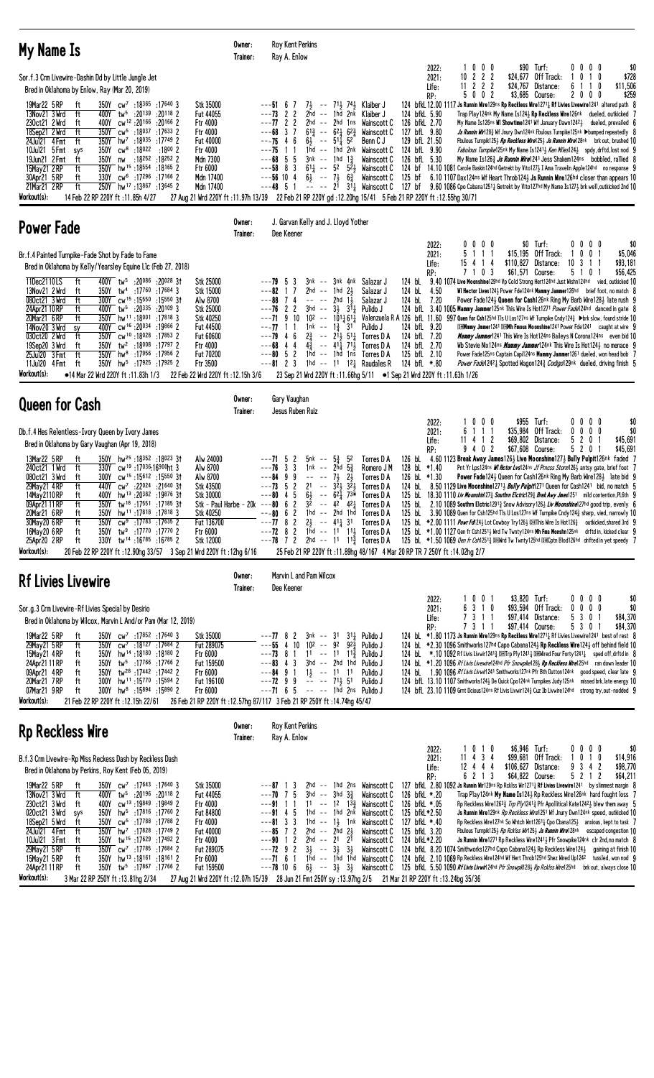| My Name Is                                                                                                                                                                                                                                                                                                                                                                                                                                                                                                                                                                                                                                                                                                                                                                                                                                                                                                                                                                                                                                                                                                                    | Owner:<br>Trainer: | Roy Kent Perkins<br>Ray A. Enlow                                                                                                                                                                                                                                                                                                                                                                                                                      |                                                                                                                                                                                                                                                                                                 |                                                                                                                                                                                                                                      |                                                                                                                                                                                              |                                                                                                                                                                                                        |                                                                                                                                              |                                                                                                                                                                                                                                                                                                                                                                                                                                                                                                                                                                                                                                                                                                                                                                                                                                                                                                                                                                                                                                                                                                                         |                                         |
|-------------------------------------------------------------------------------------------------------------------------------------------------------------------------------------------------------------------------------------------------------------------------------------------------------------------------------------------------------------------------------------------------------------------------------------------------------------------------------------------------------------------------------------------------------------------------------------------------------------------------------------------------------------------------------------------------------------------------------------------------------------------------------------------------------------------------------------------------------------------------------------------------------------------------------------------------------------------------------------------------------------------------------------------------------------------------------------------------------------------------------|--------------------|-------------------------------------------------------------------------------------------------------------------------------------------------------------------------------------------------------------------------------------------------------------------------------------------------------------------------------------------------------------------------------------------------------------------------------------------------------|-------------------------------------------------------------------------------------------------------------------------------------------------------------------------------------------------------------------------------------------------------------------------------------------------|--------------------------------------------------------------------------------------------------------------------------------------------------------------------------------------------------------------------------------------|----------------------------------------------------------------------------------------------------------------------------------------------------------------------------------------------|--------------------------------------------------------------------------------------------------------------------------------------------------------------------------------------------------------|----------------------------------------------------------------------------------------------------------------------------------------------|-------------------------------------------------------------------------------------------------------------------------------------------------------------------------------------------------------------------------------------------------------------------------------------------------------------------------------------------------------------------------------------------------------------------------------------------------------------------------------------------------------------------------------------------------------------------------------------------------------------------------------------------------------------------------------------------------------------------------------------------------------------------------------------------------------------------------------------------------------------------------------------------------------------------------------------------------------------------------------------------------------------------------------------------------------------------------------------------------------------------------|-----------------------------------------|
| Sor.f.3 Crm Livewire-Dashin Dd by Little Jungle Jet<br>Bred in Oklahoma by Enlow, Ray (Mar 20, 2019)<br>350Y cw <sup>7</sup> :18365 :17640 3<br>Stk 35000<br>19Mar22 5 RP<br>ft<br>13Nov21 3 Wrd<br>ft<br>:20139<br>:20118 2<br>Fut 44055<br>400Y tw <sup>5</sup><br>230ct21 2 Wrd<br>cw <sup>12</sup> :20 <sup>166</sup><br>$:20166$ 2<br>ft<br>400Y<br>Ftr 4000<br>cw <sup>5</sup> :18 <sup>037</sup><br>$:17633$ 2<br>Ftr 4000<br>18Sep21 2 Wrd<br>ft<br>350Y<br>24Jul21 4 Fmt<br>ft<br>350Y<br>hw <sup>7</sup> :18035:17749 2<br><b>Fut 40000</b><br>$cw^8$ :18022<br>10Jul21 5 Fmt<br>350Y<br>:18002<br>Ftr 4000<br>sys<br>ft<br>350Y<br>:18252 :18252 2<br>Mdn 7300<br>19Jun21 2 Fmt<br>nw<br>15May21 2RP<br>ft<br>350Y<br>hw <sup>15</sup> :18554:181652<br>Ftr 6000<br>cw <sup>6</sup> :17296:171662<br>30Apr21 5 RP<br>ft<br>330Y<br>Mdn 17400<br>21Mar21 2RP<br>ft<br>250Y hw <sup>17</sup> :13867 :13645 2<br>Mdn 17400<br>Workout(s):<br>14 Feb 22 RP 220Y ft: 11.85h 4/27                                                                                                                                        |                    | $---516$<br>$\prime$<br>2<br>2hd --<br>---73<br>$\mathbf{2}$<br>$---77222$<br>$--68$ 3 7<br>$6^{13}$<br>$\sim$ $-$<br>$---75$ 4 6<br>$---75$ 1 1<br>$---68$ 5<br>5<br>$---58$ 8<br>3<br>$---56$ 10 4<br>$---48$ 5<br>$\overline{1}$<br>27 Aug 21 Wrd 220Y ft :11.97h 13/39 22 Feb 21 RP 220Y gd :12.20hg 15/41 5 Feb 21 RP 220Y ft :12.55hg 30/71                                                                                                     | $7\frac{1}{2}$ -- $7^{1}\frac{1}{2}$ $7^{4}\frac{1}{2}$ Klaiber J<br>1hd<br>2nk<br>$62\frac{1}{4}$ $62\frac{3}{4}$<br>$6\frac{1}{2}$ -- $51\frac{1}{4}$ 52<br>$3nk$ -- 1hd 1 $\frac{3}{4}$<br>$6\frac{1}{2}$ -- $7\frac{1}{2}$ $6\frac{3}{4}$                                                   | Klaiber J<br>2hd -- 2hd 1ns Wainscott C<br>Wainscott C<br>Benn C J<br>$1hd$ -- $1hd$ 2nk Wainscott C<br><b>Wainscott C</b><br>$6^{11}$ -- 5 <sup>2</sup> 5 <sup>2</sup> <b>Wainscott C</b><br>Wainscott C                            | 2022:<br>2021:<br>Life:<br>RP:<br>124 bfkL 5.90<br>126 bfkL 2.70<br>127 bfL 9.80<br>129 bfL 21.50<br>124 bfL 9.90<br>126 bfL 5.30<br>125 bf                                                  | $0\,$ $0\,$ $0\,$<br>2 2 2<br>10<br>$11$ 2 2 2<br>5 0 0 2                                                                                                                                              | \$90 Turf:<br>\$24,677 Off Track:<br>\$24,767<br>Distance:<br>\$3,685 Course:                                                                | 0000<br>1 <sub>0</sub><br>0<br>1<br>6<br>-1<br>-1<br>0<br>20<br>$0\quad 0$<br>124 bfkl. 12.00 1117 Js Runnin Wire129ns Rp Reckless Wire1271 <sub>4</sub> Rf Livies Livewire1241 altered path 8<br>Trap Play124nk My Name Is1243 Rp Reckless Wire126nk dueled, outkicked 7<br>My Name Is126ns WI Showtime1241 Wf January Dawn12423 dueled, prevailed 6<br>Js Runnin Wir1283 Wf Jnury Dwn124nk Fbulous Turnpike125nk Dbumped repeatedly 8<br>Fbulous Turnpik1253 Rp Reckless Wire1253 Js Runnin Wire128nk brk out, brushed 10<br><i>Fabulous Turnpike</i> 125 <sup>nk</sup> My Name Is1241 <sub>2</sub> <i>Ken Miles</i> 124 <sub>2</sub> spdy, drftd, lost nod 9<br>My Name Is1263 <i>Js Runnin Wire</i> 1241 Jess Shakem124ns     bobbled, rallied   8<br>124 bf 14.10 1081 Carole Baskin124hd Getrekt by Vito127 $\frac{1}{2}$ I Ama Travelin Apple124hd no response 9<br>6.10 1107 Dax124ns Wf Heart Throb124} Js Runnin Wire126hd closer than appears 10<br>21 $31\frac{1}{4}$ Wainscott C 127 bf 9.60 1086 Cpo Cabana 1251 $\frac{1}{4}$ Getrekt by Vito127hd My Name Is127 $\frac{1}{2}$ brk well,outkicked 2nd 10 | \$0<br>\$728<br>\$11,506<br>\$259       |
| <b>Power Fade</b>                                                                                                                                                                                                                                                                                                                                                                                                                                                                                                                                                                                                                                                                                                                                                                                                                                                                                                                                                                                                                                                                                                             | Owner:<br>Trainer: | J. Garvan Kelly and J. Lloyd Yother<br>Dee Keener                                                                                                                                                                                                                                                                                                                                                                                                     |                                                                                                                                                                                                                                                                                                 |                                                                                                                                                                                                                                      |                                                                                                                                                                                              |                                                                                                                                                                                                        |                                                                                                                                              |                                                                                                                                                                                                                                                                                                                                                                                                                                                                                                                                                                                                                                                                                                                                                                                                                                                                                                                                                                                                                                                                                                                         |                                         |
| Br.f.4 Painted Turnpike-Fade Shot by Fade to Fame<br>Bred in Oklahoma by Kelly/Yearsley Equine Llc (Feb 27, 2018)<br>11Dec2110LS<br>ft<br>400Y tw <sup>5</sup> :20086 :20028 3t<br>Stk 25000<br>tw <sup>4</sup> :17760 :17684 3<br>13Nov21 2 Wrd<br>ft<br>350Y<br>Stk 15000<br>080ct21 3 Wrd<br>ft<br>300Y cw <sup>15</sup> :15550:1555031<br>Alw 8700<br>24Apr21 10 RP<br>ft<br>400Y tw <sup>5</sup> :20 <sup>335</sup> :20 <sup>109</sup> 3<br><b>Stk 25000</b><br>20Mar21 6RP<br>ft<br>350Y<br>hw <sup>11</sup> :18001 :17818 3<br>Stk 40250<br>14Nov20 3 Wrd<br>CW <sup>16</sup> :20 <sup>034</sup> :19866 2<br>SV<br>400Y<br><b>Fut 44500</b><br>350Y<br>030ct20 2 Wrd<br>ft<br>cw <sup>10</sup> :18028:178532<br><b>Fut 60600</b><br>19Sep20 3 Wrd<br>ft<br>350Y<br>tw <sup>2</sup> :18008:177972<br>Ftr 4000<br>25Jul20 3 Fmt<br>ft<br>350Y<br>:17956 :17956 2<br>hw <sup>8</sup><br><b>Fut 70200</b><br>hw <sup>5</sup> :17925 :17925 2<br>350Y<br>Ftr 3500<br>11Jul20 4 Fmt<br>ft<br>Workout(s):<br>•14 Mar 22 Wrd 220Y ft : 11.83h 1/3<br>22 Feb 22 Wrd 220Y ft : 12.15h 3/6                                        |                    | $---79.5$<br>3<br>$2hd - - 1hd$<br>---82<br>7<br>-1<br>$---88$ 7 4<br>$---76$ 2 2<br>3hd --<br>9<br>10<br>$1nk$ -- $1\frac{3}{4}$<br>$---77$ 1 1<br>$2\frac{3}{4}$<br>$---79$ 4 6<br>$---68$ 4 4<br>52<br>1hd -- 1hd<br>---80<br>$---8123$<br>23 Sep 21 Wrd 220Y ft :11.66hg 5/11 ●1 Sep 21 Wrd 220Y ft :11.63h 1/26                                                                                                                                  | 3nk -- 3nk 4nk Salazar J<br>2 <sub>3</sub><br>$-- -2hd$ 1 <sup>1</sup> / <sub>3</sub><br>$3\frac{1}{2}$ $3^{1}\frac{1}{4}$<br>$10^2$ -- $10^1\frac{1}{4}6^1\frac{1}{4}$<br>31<br>$-- 21\frac{1}{2}$ 51 <sup>1</sup> / <sub>4</sub><br>$4\frac{3}{4}$ -- $41\frac{1}{4}$ 71 $\frac{1}{2}$<br>1ns | Salazar J<br>Salazar J<br>Pulido J<br>Pulido J<br>Torres D A<br>Torres D A<br>Torres D A<br>1hd $-$ 11 12 <sup>1</sup> / <sub>4</sub> Raudales R                                                                                     | 2022:<br>2021:<br>Life:<br>RP:<br>124 bL<br>124 bL<br>4.50<br>124 bL<br>7.20<br>Valenzuela R A 126 bfL 11.60<br>124 bfL 9.20<br>124 bfL 7.20<br>124 bfL 2.70<br>125 bfL 2.10<br>124 bfL *.80 | $0\,$ 0 $\,$ 0 $\,$<br>0<br>5<br>$\mathbf{1}$<br>1 1<br>15414<br>$\mathbf{0}$<br>-3<br>7 <sub>1</sub>                                                                                                  | \$0 Turf:<br>\$15,195<br>Off Track:<br>\$110,827<br>Distance:<br>\$61,571 Course:                                                            | 0000<br>0 <sub>1</sub><br>0<br>-1<br>3<br>10<br>11<br>51<br>0<br>9.40 1074 Live Moonshine129hd Vp Cold Strong Hert124hd Just Wishn124hd vied, outkicked 10<br>WI Hector Lives124} Power Fde124nk Mammy Jammer126hd brief foot, no match 8<br>Power Fade1243 Queen for Cash126nk Ring My Barb Wire1283 late rush 9<br>124 bfl. 3.40 1005 Mammy Jammer125nk This Wire Is Hot1271 Power Fade124hd danced in gate 8<br>997 Quen for Csh125hd Tls U Los127ns Wf Turnpike Cndy124½ ▶brk slow, found stride 10<br>030 Mmmy Jmmer1241 03Mh Fmous Moonshine1241 Power Fde1241   caught at wire<br><i>Mammy Jammer</i> 1241 This Wire Is Hot 124ns Baileys N Corona 124ns even bid 10<br>Wb Stevie Nix124ns <i>Mammy Jammer</i> 124nk This Wire Is Hot1243 no menace 9<br>Power Fade125ns Captain Capi124ns Mammy Jammer1261 dueled, won head bob 7<br>Power Fade12421 Spotted Wagon1243 Codigo129nk dueled, driving finish 5                                                                                                                                                                                                     | \$0<br>\$5,046<br>\$93,181<br>\$56,425  |
| <b>Queen for Cash</b>                                                                                                                                                                                                                                                                                                                                                                                                                                                                                                                                                                                                                                                                                                                                                                                                                                                                                                                                                                                                                                                                                                         | Owner:<br>Trainer: | Gary Vaughan<br>Jesus Ruben Ruiz                                                                                                                                                                                                                                                                                                                                                                                                                      |                                                                                                                                                                                                                                                                                                 |                                                                                                                                                                                                                                      |                                                                                                                                                                                              |                                                                                                                                                                                                        |                                                                                                                                              |                                                                                                                                                                                                                                                                                                                                                                                                                                                                                                                                                                                                                                                                                                                                                                                                                                                                                                                                                                                                                                                                                                                         |                                         |
| Db.f.4 Hes Relentless-Ivory Queen by Ivory James<br>Bred in Oklahoma by Gary Vaughan (Apr 19, 2018)<br>13Mar22 5 RP<br>350Y hw <sup>25</sup> :18352:18023 31<br>ft<br>Alw 24000<br>ft<br>330Y<br>cw <sup>19</sup> :17036:16900ht 3<br>Alw 8700<br>240ct21 1 Wrd<br>ft<br>300Y<br>cw <sup>15</sup> :15612 :15550 31<br>Alw 8700<br>080ct21 3 Wrd<br>29May21 4RP<br>ft<br>440Y<br>cw <sup>7</sup> :22024 :21640 31<br>Stk 43500<br>hw <sup>13</sup> :20382:19876 31<br>14May 2110 RP<br>ft<br>400Y<br><b>Stk 30000</b><br>350Y tw <sup>18</sup> :17551:17185 31<br>ft<br>09Apr21 11 RP<br>20Mar21 6 RP<br>hw <sup>11</sup> :17818 :17818 3<br>Stk 40250<br>350Y<br>π<br>ft<br>350Y<br>$cw9$ :17783 :17635 2<br>30May20 6 RP<br>Fut 136700<br>16May20 6RP<br>350Y<br>tw <sup>9</sup> :17770:177702<br>Ftr 6000<br>ft<br>tw <sup>14</sup> :16 <sup>785</sup> :16 <sup>785</sup> 2<br>25Apr20 2RP<br>330Y<br>Stk 12000<br>ft<br>Workout(s):<br>20 Feb 22 RP 220Y ft: 12.90hg 33/57 3 Sep 21 Wrd 220Y ft: 12hg 6/16                                                                                                                 |                    | $---715$<br>5nk --<br>-2<br>$---76$ 3<br>-3<br>$---84$ 9 9<br>$\sim$ $-$<br>$\sim$ $-$<br>$---73$ 5 2<br>2 <sup>1</sup><br>$\sim$ $-$<br>$6\frac{1}{2}$<br>$--80$ 4 5<br>Stk - Paul Harbe - 20 $k$ ---80 6 2<br>---80<br>$\mathbf{2}$<br>6<br>$---77$ 8 2 2 3 $---41$ 31<br>$---72$ 8 2 1hd $---11$ 11, Torres D A<br>$---78$ 7 2 2hd -- 11 11 $\frac{3}{4}$ Torres D A<br>25 Feb 21 RP 220Y ft: 11.89hg 48/167 4 Mar 20 RP TR 7 250Y ft: 14.02hg 2/7 | $5\frac{3}{4}$<br>52<br>1nk -- 2nd $5\frac{3}{4}$<br>$7\frac{1}{2}$<br>$2\frac{1}{2}$<br>$3\overline{2}$<br>$3\overline{2}$<br>$-- 62\frac{1}{4}$ 73*<br>$3\bar{2}$ -- $42$ $42\bar{1}$                                                                                                         | Torres D A<br>Romero J M<br>Torres D A<br>Torres D A<br>Torres D A<br>Torres D A<br>1hd -- 2hd 1hd Torres D A<br>Torres D A                                                                                                          | 2022:<br>2021:<br>Life:<br>RP:<br>128 bL *1.40<br>126 bl *1.30<br>124 bL<br>125 bL                                                                                                           | 0<br>$0\quad 0$<br>6<br>111<br>4 1 2<br>11.<br>9402<br>125 bL $*2.00$ 1111 <i>Powr Fd</i> 124 <sup>3</sup> Lot Cowboy Try126 <sup>3</sup> @ 115 Wire Is Hot126 <sup>3</sup>                            | \$955 Turf:<br>\$35,984 Off Track:<br>\$69,802<br>Distance:<br>\$67,608 Course:                                                              | 0<br>$0\,0\,0$<br>$0\ 0\ 0$<br>0<br>5<br>$\overline{c}$<br>0<br>520<br>126 bL $\,$ 4.60 1123 Break Away James 126 $\frac{1}{2}$ Live Moonshine 127 $\frac{1}{2}$ Bully Pulpit 126nk faded 7<br>Pnt Yr Lps124ns <i>Wl Hctor Lvs</i> 124ns Jf Prncss Storm126} antsy gate, brief foot 7<br>Power Fade1243 Queen for Cash126nk Ring My Barb Wire1283 late bid 9<br>8.50 1129 Live Moonshine12713 <i>Bully Pulpit</i> 1271 Queen for Cash1241 bid, no match 5<br>125 bl. 18.30 1110 Liv Moonshin(27 <sub>2</sub> Southrn Eletric(29 <sub>2</sub> Brek Awy Jmes(251 mild contention, PL6th 9<br>2.10 1089 Southrn Elctric1291 <sup>3</sup> Snow Advisory126 <sup>3</sup> Liv Moonshine127hd good trip, evenly 6<br>125 bL $3.90$ 1089 Quen for Csh125hd Tls U Los127ns Wf Turnpike Cndy124 $\frac{3}{4}$ sharp, vied, narrowly 10<br>outkicked, shared 3rd 9<br>125 bl *1.00 1127 Qen fr Csh1251} Wrd Tw Twnty124ns Mh Fms Monshn125nk drftd in, kicked clear 9<br>125 bl *1.50 1069 Oen fr Csh1251 <sup>3</sup> DEN Ind Tw Twnty125hd DEIC ptn Blod126hd drifted in yet speedy 7                                            | \$0<br>\$0<br>\$45,691<br>\$45,691      |
| <b>Rf Livies Livewire</b>                                                                                                                                                                                                                                                                                                                                                                                                                                                                                                                                                                                                                                                                                                                                                                                                                                                                                                                                                                                                                                                                                                     | Owner:<br>Trainer: | Marvin L and Pam Wilcox<br>Dee Keener                                                                                                                                                                                                                                                                                                                                                                                                                 |                                                                                                                                                                                                                                                                                                 |                                                                                                                                                                                                                                      |                                                                                                                                                                                              |                                                                                                                                                                                                        |                                                                                                                                              |                                                                                                                                                                                                                                                                                                                                                                                                                                                                                                                                                                                                                                                                                                                                                                                                                                                                                                                                                                                                                                                                                                                         |                                         |
| Sor.g.3 Crm Livewire-Rf Livies Special by Desirio<br>Bred in Oklahoma by Wilcox, Marvin L And/or Pam (Mar 12, 2019)<br>Stk 35000<br>19Mar22 5 RP<br>$350Y$ cw <sup>7</sup> :17852 :17640 3<br>ft<br>29May21 5 RP<br>ft<br>350Y<br>cw <sup>7</sup> :18127:17684 2<br>Fut 289075<br>15May21 4RP<br>hw <sup>14</sup> :18 <sup>180</sup> :18 <sup>180</sup> 2<br>ft<br>350Y<br>Ftr 6000<br>350Y<br>tw <sup>5</sup> :17766:177662<br>24Apr21 11 RP<br>ft<br>Fut 159500<br>09Apr21 4RP<br>ft<br>350Y<br>tw <sup>28</sup> :17442:174422<br>Ftr 6000<br>20Mar21 7RP<br>hw <sup>11</sup> :15770 :15594 2<br>ft<br>300Y<br>Fut 196100<br>07Mar21 9RP<br>300Y<br>hw <sup>8</sup> :15894 :15890 2<br>Ftr 6000<br>ft<br>Workout(s):<br>21 Feb 22 RP 220Y ft: 12.15h 22/61                                                                                                                                                                                                                                                                                                                                                                  |                    | ---77 82<br>$---55$ 4 10<br>$10^2$ -- $9^2$<br>$---73$ 8 1<br>$---83$ 4 3<br>$---84$ 9 1<br>$- - -$ 71, 51<br>$---72$ 9 9<br>$---71$ 6 5<br>26 Feb 21 RP 220Y ft : 12.57hg 87/117 3 Feb 21 RP 250Y ft : 14.74hg 45/47                                                                                                                                                                                                                                 | 3nk -- 31 311 Pulido J<br>923<br>$11 - - 11$ $11\frac{3}{7}$<br>3hd -- 2hd 1hd<br>$1\frac{1}{2}$ -- 11 11<br>-- -- 1hd 2ns Pulido J                                                                                                                                                             | Pulido J<br>Pulido J<br>Pulido J<br>Pulido J<br>Pulido J                                                                                                                                                                             | 2022:<br>2021:<br>Life:<br>RP:                                                                                                                                                               | 1001<br>6310<br>7 3 1 1<br>7311                                                                                                                                                                        | \$3,820 Turf:<br>\$93,594 Off Track:<br>\$97,414 Distance:<br>\$97,414 Course:                                                               | 0000<br>0<br>$0\,0\,0$<br>301<br>5<br>530<br>124 bl *1.80 1173 Js Runnin Wire129ns Rp Reckless Wire1271 Rf Livies Livewire1241 best of rest 8<br>124 bl. *2.30 1096 Smithworks127hd Capo Cabana1243 Rp Reckless Wire1243 off behind field 10<br>124 bl *.10 1092 Rf Livis Livwir1241 <sup>3</sup> LET rp Ply1241 <sup>1</sup> Let Four Forty1241 <sup>1</sup> sped off, drftd in 8<br>124 bl. *1.20 1096 Rf Livis Livewire124hd Pfr Snowpike1283 Rp Reckless Wire125hd ran down leader 10<br>124 bl 1.90 1096 Rf Livis Livwir1241 Smithworks127nk Pfr Bth Dutton124nk good speed, clear late 9<br>124 bfL 13.10 1107 Smithworks124½ De Quick Cpo124nk Turnpikes Judy125nk missed brk, late energy 10<br>124 bfl. 23.10 1109 Grnt Dcious124ns Rf Livis Livwir124% Cuz Ib Livwire124hd strong try, out-nodded 9                                                                                                                                                                                                                                                                                                           | \$0<br>\$0<br>\$84,370<br>\$84,370      |
| <b>Rp Reckless Wire</b>                                                                                                                                                                                                                                                                                                                                                                                                                                                                                                                                                                                                                                                                                                                                                                                                                                                                                                                                                                                                                                                                                                       | Owner:<br>Trainer: | <b>Roy Kent Perkins</b><br>Ray A. Enlow                                                                                                                                                                                                                                                                                                                                                                                                               |                                                                                                                                                                                                                                                                                                 |                                                                                                                                                                                                                                      |                                                                                                                                                                                              |                                                                                                                                                                                                        |                                                                                                                                              |                                                                                                                                                                                                                                                                                                                                                                                                                                                                                                                                                                                                                                                                                                                                                                                                                                                                                                                                                                                                                                                                                                                         |                                         |
| B.f.3 Crm Livewire-Rp Miss Reckess Dash by Reckless Dash<br>Bred in Oklahoma by Perkins, Roy Kent (Feb 05, 2019)<br>19Mar22 5 RP<br>350Y cw <sup>7</sup> :17643 :17640 3<br>Stk 35000<br>ft<br>13Nov21 3 Wrd<br>ft<br>400Y tw <sup>5</sup> :20196 :20118 2<br>Fut 44055<br>230ct21 3 Wrd<br>400Y<br>CW <sup>13</sup> :19849:19849 2<br>Ftr 4000<br>ft<br>020ct21 3 Wrd<br>hw <sup>5</sup> :17816 :17760 2<br>350Y<br><b>Fut 84800</b><br>sys<br>18Sep21 5 Wrd<br>cw <sup>5</sup> :17 <sup>788</sup> :17 <sup>788</sup> 2<br>Ftr 4000<br>ft<br>350Y<br>24Ju121    4Fmt<br>ft<br>350Y<br>hw <sup>7</sup> : 17828: 17749 2<br><b>Fut 40000</b><br>tw <sup>15</sup> :17629:174922<br>10Jul21 3 Fmt<br>ft<br>350Y<br>Ftr 4000<br>29May21 5 RP<br>ft<br>350Y<br>cw <sup>7</sup> :17785:176842<br>Fut 289075<br>15May21 5 RP<br>ft<br>350Y<br>hw <sup>13</sup> :18161:181612<br>Ftr 6000<br>350Y tw <sup>5</sup> :17867 :17766 2<br>24Apr21 11 RP<br>ft<br>Fut 159500<br>Workout(s):<br>3 Mar 22 RP 250Y ft -13 81hg 2/34 27 Aug 21 Wrd 220Y ft -12 07h 15/39 28 Jun 21 Fmt 250Y sv -13 97hg 2/5 21 Mar 21 RP 220Y ft -13 24hg 35/36 |                    | 3<br>-1<br>$---70$ 7 5<br>11<br>$---91$ 4 5<br>$---81 \quad 3 \quad 3$<br>$---85$ 7 2<br>$2hd - -$<br>$---90$ 1 2<br>34<br>$---72$ 9 2<br>$---71$ 6 1<br>$---78$ 10 6                                                                                                                                                                                                                                                                                 | $3hd$ -- $3hd$ $3\frac{3}{4}$<br>1 hd -- 1 hd 2 nk<br>$2hd$ $2\frac{1}{2}$<br>2hd -- 21 2 <sup>1</sup><br>$--3\frac{1}{2}$ $3\frac{1}{2}$                                                                                                                                                       | 2hd $--$ 1hd 2ns Wainscott C<br>Wainscott C<br>11 -- 12 13 $\frac{3}{4}$ Wainscott C<br>Wainscott C<br>1hd $-$ 1 $\frac{1}{2}$ 1nk Wainscott C<br><b>Wainscott C</b><br>Wainscott C<br>Wainscott C<br>$1hd$ -- $1hd$ 1hd Wainscott C | 2022:<br>2021:<br>Life:<br>RP:<br>126 bfkL *.20<br>126 bfkL *.05<br>125 bfkL*2.50<br>127 bfkL *.40<br>125 bfkL 3.20<br>124 bfkL*2.20                                                         | 0 1 0<br>$11$ 4 3 4<br>12 4 4 4<br>6 2 1 3<br>124 bfkL 8.20 1074 Smithworks127hd Capo Cabana1243 Rp Reckless Wire1243<br>124 bfkl 2.10 1069 Rp Reckless Wire124hd Wf Hert Throb125hd Shez Wired Up1242 | \$6,946 Turf:<br>\$99,681 Off Track:<br>\$106,627 Distance:<br>\$64,822 Course:<br>Fbulous Turnpik1253 Rp Rcklss Wir1253 Js Runnin Wire128nk | 0000<br>0<br>1 <sub>0</sub><br>$3 \t 4 \t 2$<br>9<br>5212<br>127 bfkl 2.80 1092 Js Runnin Wir129ns Rp Rcklss Wir1271 <sup>1</sup> Rf Livies Livewire1241 by slimmest margin 8<br>Trap Play124nk My Name Is1243 Rp Reckless Wire126nk hard fought loss 7<br>Rp Reckless Wire1263 $_{\frac{3}{4}}$ Trp PIy1241 $_{\frac{3}{4}}$ Pfr Apollitical Kate12421 blew them away 5<br>Js Runnin Wire129nk Rp Reckless Wire1251 Wf Jnury Dwn124nk speed, outkicked 10<br>Rp Reckless Wire127nk So Whtch Wnt1261 $\frac{1}{4}$ Cpo Cbana125 $\frac{1}{2}$ anxious, kept to task 7<br>escaped congestion 10<br>Js Runnin Wire1271 Rp Reckless Wire12413 Pfr Snowpike124nk clr 2nd, no match 8<br>gaining at finish 10<br>tussled, won nod 9<br>$6\frac{1}{2}$ -- $3\frac{1}{2}$ Wainscott C 125 bfkl 5.50 1090 RF Livis Livwir124hd Pfr Snowpik1283 Rp Rcklss Wire125hd brk out, always close 10                                                                                                                                                                                                                                     | \$0<br>\$14,916<br>\$98,770<br>\$64,211 |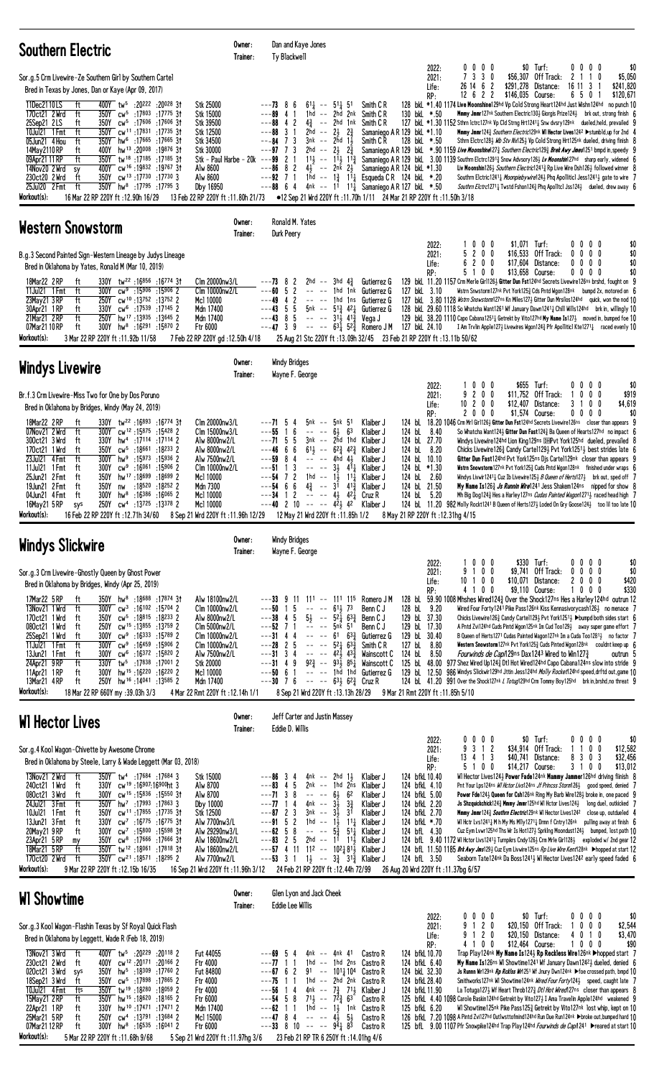| <b>Southern Electric</b>                                                                                                                                                                                                                                                                                                                                                                                                                                                                                                                                                                                                                                                                                                                                                                                                                                                                                                               | Owner:<br>Trainer:                                                                                                                                                                                                | Dan and Kaye Jones<br>Ty Blackwell                                                                                                                                                                                                                                                                                                                                                                                                                                                                                                                                                                                      |                                                                                                                                                                                                                    |                                                                                                                                                                                                              |                                                  |                                                                                                                                |                                                                                                                                                                                                                                                                                                                                                                                                                                                                                                                                                                                                                                                                                                                                                                                                                                                                                                                                                                                                                                                                                                                                                                                                                                                             |
|----------------------------------------------------------------------------------------------------------------------------------------------------------------------------------------------------------------------------------------------------------------------------------------------------------------------------------------------------------------------------------------------------------------------------------------------------------------------------------------------------------------------------------------------------------------------------------------------------------------------------------------------------------------------------------------------------------------------------------------------------------------------------------------------------------------------------------------------------------------------------------------------------------------------------------------|-------------------------------------------------------------------------------------------------------------------------------------------------------------------------------------------------------------------|-------------------------------------------------------------------------------------------------------------------------------------------------------------------------------------------------------------------------------------------------------------------------------------------------------------------------------------------------------------------------------------------------------------------------------------------------------------------------------------------------------------------------------------------------------------------------------------------------------------------------|--------------------------------------------------------------------------------------------------------------------------------------------------------------------------------------------------------------------|--------------------------------------------------------------------------------------------------------------------------------------------------------------------------------------------------------------|--------------------------------------------------|--------------------------------------------------------------------------------------------------------------------------------|-------------------------------------------------------------------------------------------------------------------------------------------------------------------------------------------------------------------------------------------------------------------------------------------------------------------------------------------------------------------------------------------------------------------------------------------------------------------------------------------------------------------------------------------------------------------------------------------------------------------------------------------------------------------------------------------------------------------------------------------------------------------------------------------------------------------------------------------------------------------------------------------------------------------------------------------------------------------------------------------------------------------------------------------------------------------------------------------------------------------------------------------------------------------------------------------------------------------------------------------------------------|
| Sor.g.5 Crm Livewire-Ze Southern Girl by Southern Cartel<br>Bred in Texas by Jones, Dan or Kaye (Apr 09, 2017)<br>400Y tw <sup>5</sup> :20 <sup>222</sup> :20 <sup>028</sup> 31<br>11Dec2110LS<br>ft<br>170ct21 2 Wrd<br>350Y cw <sup>5</sup> :17803 :17775 31<br>ft<br>350Y cw <sup>5</sup> :17606 :17606 31<br>25Sep21 2LS<br>ft<br>ft<br>350Y cw <sup>11</sup> :17831 :17735 31<br>10Jul21 1 Fmt<br>05Jun21 4 Hou<br>350Y hw <sup>6</sup> :17665 :17665 31<br>ft<br>400Y hw <sup>13</sup> :20008:19876 31<br>14May 2110 RP<br>ft<br>350Y tw <sup>18</sup> :17185:1718531<br>09Apr21 11 RP<br>ft<br>400Y cw <sup>16</sup> :19832:1976731<br>14Nov20 2 Wrd<br>sy<br>350Y cw <sup>13</sup> :17730:177303<br>230ct20 2 Wrd<br>ft<br>350Y hw <sup>8</sup> :17795 :17795 3<br>25Jul20 2 Fmt<br>ft<br>Workout(s):<br>16 Mar 22 RP 220Y ft: 12.90h 16/29                                                                                    | Stk 25000<br>Stk 15000<br><b>Stk 39500</b><br>Stk 12500<br><b>Stk 34500</b><br><b>Stk 30000</b><br>Stk - Paul Harbe - 20 $k$ ---99 2 1<br>Alw 8600<br>Alw 8600<br>Dby 16950<br>13 Feb 22 RP 220Y ft: 11.80h 21/73 | $61\frac{1}{4}$ -- $51\frac{1}{4}$ 51<br>$---73$ 8 6<br>$---89$ 4 1<br>1hd -- 2hd 2nk<br>$4\frac{3}{4}$ -- 2hd 1nk<br>$---8842$<br>2hd -- $2\frac{1}{2}$ $2\frac{3}{4}$<br>$---88$ 3 1<br>$---84$ 7 3<br>$3nk$ -- $2hd$ $1\frac{1}{2}$<br>2hd -- $2\frac{1}{2}$ $2\frac{3}{4}$<br>$---97$ 7 3<br>$---86$ 8 2<br>$4\frac{1}{2}$ -- 2nk $2\frac{1}{2}$<br>$---92$ 7 1<br>$---88$ 64<br>●12 Sep 21 Wrd 220Y ft:11.70h 1/11 24 Mar 21 RP 220Y ft:11.50h 3/18                                                                                                                                                                | Smith C R<br>Smith C <sub>R</sub><br>Smith C R<br>Smith C R<br>1hd -- $1\frac{3}{4}$ 1 <sup>1</sup> Esqueda C R 124 bkL *.20<br>4nk -- 11 11 $\frac{1}{4}$ Samaniego AR 127 bkL *.50                               | 2022:<br>2021:<br>Life:<br>RP:<br>130 bkL *.50<br>Samaniego A R 129 bkL *1.10<br>128 bkL *.50<br>Samaniego A R 124 bkL *1.30                                                                                 | 0000<br>7 3 3 0<br>26 14 6 2<br>$12 \t6 \t2 \t2$ | $$0$ Turf:<br>\$56,307 Off Track:<br>\$291,278 Distance:<br>\$146,035 Course:                                                  | $0\ 0\ 0\ 0$<br>\$0<br>2 1<br>$1\quad0$<br>\$5,050<br>16 11 3 1<br>\$241,820<br>6501<br>\$120,671<br>128 bkL *1.40 1174 Live Moonshine129hd Vp Cold Strong Heart124hd Just Wishn124hd no punch 10<br>Mmmy Jmmr127nk Southern Electric130} Giorgis Prize124} brk out, strong finish 6<br>127 bkl *1.30 1152 Sthrn 1ctrc127nk Vp C1d Strng Hrt1241 <sup>1</sup> Snw dvsry129nk dueled, held, prevailed 9<br>Mmmy Jmmr1243 Southern Electric129nk WI Hector Lives1242 ▶ stumbld, up for 2nd 4<br>Sthrn Elctrc1283 <i>Wb Stv Nx</i> 1253 Vp Cold Strong Hrt125nk dueled, driving finish 8<br>Samaniego A R 129 bkl *.90 1159 Live Moonshine 27 <sup>3</sup> Southern Electric 29 <sup>3</sup> Brek Awy Jmes 25 <sup>1</sup> bmpd in, speedy 9<br>$11\frac{1}{2}$ - $11\frac{1}{3}$ Samaniego AR 129 bkl. 3.00 1139 Southrn Elctrc1291 $\frac{3}{4}$ Snow Advsory126 $\frac{1}{2}$ Lv Moonshin127hd sharp early, widened 6<br>Liv Moonshin126} Southern Electric12413 Rp Live Wire Dsh1263 followed winner 8<br>Southrn Elctric1241 <sub>4</sub> Moonpiebywire124 <sub>2</sub> Phq Apolliticl Jess1241 <sub>2</sub> gate to wire 7<br><i>Southrn Elctrc</i> 1271 <sub>4</sub> Twstd Fshon124 $\frac{3}{4}$ Phq Apolltcl Jss124 $\frac{1}{2}$ dueled, drew away 6 |
| Western Snowstorm                                                                                                                                                                                                                                                                                                                                                                                                                                                                                                                                                                                                                                                                                                                                                                                                                                                                                                                      | Owner:<br>Trainer:                                                                                                                                                                                                | Ronald M. Yates<br>Durk Peery                                                                                                                                                                                                                                                                                                                                                                                                                                                                                                                                                                                           |                                                                                                                                                                                                                    |                                                                                                                                                                                                              |                                                  |                                                                                                                                |                                                                                                                                                                                                                                                                                                                                                                                                                                                                                                                                                                                                                                                                                                                                                                                                                                                                                                                                                                                                                                                                                                                                                                                                                                                             |
| B.g.3 Second Painted Sign-Western Lineage by Judys Lineage<br>Bred in Oklahoma by Yates, Ronald M (Mar 10, 2019)<br>18Mar22 2RP<br>330Y tw <sup>22</sup> :16856:16774 31<br>ft<br>11Jul21 1 Fmt<br>ft<br>300Y<br>$cw9$ :15906 :15906 2<br>250Y cw <sup>10</sup> :13752 :13752 2<br>23May21 3 RP<br>ft<br>330Y cw <sup>6</sup> :17539 :17145 2<br>30Apr21 1RP<br>ft<br>21Mar21 2RP<br>ft<br>250Y hw <sup>17</sup> :13935:13645 2<br>07Mar21 10 RP<br>300Y hw <sup>8</sup> :16 <sup>291</sup> :15870 2<br>ft<br>Workout(s):<br>3 Mar 22 RP 220Y ft :11.92b 11/58                                                                                                                                                                                                                                                                                                                                                                         | Clm 20000nw3/L<br>Clm 10000nw2/L<br>Mc1 10000<br>Mdn 17400<br>Mdn 17400<br>Ftr 6000<br>7 Feb 22 RP 220Y gd:12.50h 4/18                                                                                            | $---73$ 8 2<br>2hd -- 3hd 4 $\frac{3}{2}$<br>$---60 5 2$<br>$---49$ 4 2<br>-- -- 1hd 1ns<br>$---43$ 5 5<br>$---43$ 8 5<br>$--- 31\frac{1}{2} 41\frac{3}{4}$<br>$---47$ 3 9<br>25 Aug 21 Stc 220Y ft: 13.09h 32/45 23 Feb 21 RP 220Y ft: 13.11b 50/62                                                                                                                                                                                                                                                                                                                                                                    | Gutierrez G<br>-- -- 1hd 1nk Gutierrez G<br>Gutierrez G<br>5nk $-$ 51 $\frac{3}{4}$ 42 $\frac{1}{4}$ Gutierrez G<br>Vega J<br>$-- -63\frac{1}{4}$ 52 $\frac{3}{4}$ Romero JM                                       | 2022:<br>2021:<br>Life:<br>RP:<br>127 bkL 3.10<br>127 bkL 24.10                                                                                                                                              | 1000<br>5 2 0 0<br>6 2 0 0<br>5100               | \$1,071 Turf:<br>\$16,533 Off Track:<br>$$17,604$ Distance:<br>\$13,658 Course:                                                | 0000<br>\$0<br>$0\ 0\ 0\ 0$<br>\$0<br>0000<br>\$0<br>$0\ 0\ 0\ 0$<br>\$0<br>129 bkl. 11.20 1157 Crm Merle Girl1261 Gitter Dun Fst124hd Secrets Livewire126ns brshd, fought on 9<br>Wstrn Snwstorm127nk Pvt York125 $\frac{3}{4}$ Cds Pntd Wgon128nk bumpd 2x, motored on 6<br>127 bkl 3.80 1128 Wstrn Snowstorm127ns Kn Miles1273 Gitter Dun Mrsilos124hd quick, won the nod 10<br>128 bkl. 29.60 1118 So Whatcha Want1261 Wf January Dawn1241 $\frac{1}{4}$ Chill Wills124hd brk in, willingly 10<br>129 bkl 38.20 1110 Capo Cabana1251 <sup>1</sup> Getrekt by Vito127hd My Name Is127 <sup>1</sup> moved in, bumped foe 10<br>I Am Trvlin Apple127 $\frac{1}{2}$ Livewires Wgon124 $\frac{3}{4}$ Pfr Apolliticl Kte1271 $\frac{1}{4}$ raced evenly 10                                                                                                                                                                                                                                                                                                                                                                                                                                                                                                    |
| <b>Windys Livewire</b>                                                                                                                                                                                                                                                                                                                                                                                                                                                                                                                                                                                                                                                                                                                                                                                                                                                                                                                 | Owner:<br>Trainer:                                                                                                                                                                                                | <b>Windy Bridges</b><br>Wayne F. George                                                                                                                                                                                                                                                                                                                                                                                                                                                                                                                                                                                 |                                                                                                                                                                                                                    |                                                                                                                                                                                                              |                                                  |                                                                                                                                |                                                                                                                                                                                                                                                                                                                                                                                                                                                                                                                                                                                                                                                                                                                                                                                                                                                                                                                                                                                                                                                                                                                                                                                                                                                             |
| Br.f.3 Crm Livewire-Miss Two for One by Dos Poruno<br>Bred in Oklahoma by Bridges, Windy (May 24, 2019)<br>18Mar22 2RP<br>330Y tw <sup>22</sup> :16893:1677431<br>ft<br>07Nov21 2 Wrd<br>300Y cw <sup>12</sup> :15875:15428 2<br>ft<br>300ct21 3Wrd<br>ft<br>17114 2: 17114 17114 1<br>350Y<br>cw <sup>5</sup> :18661:18233 2<br>170ct21 1 Wrd<br>ft<br>23Jul21 4 Fmt<br>300Y hw <sup>9</sup> :15973 :15936 2<br>ft<br>$cw9$ :16061 :15906 2<br>11Jul21 1 Fmt<br>300Y<br>ft<br>25Jun21 2 Fmt<br>350Y<br>hw <sup>17</sup> :18699 :18699 2<br>ft<br>:18 <sup>520</sup> :18 <sup>252</sup> 2<br>19Jun21 2 Fmt<br>ft<br>350Y<br>nw<br>$300Y$ hw <sup>8</sup> :16 <sup>386</sup> :16065 2<br>04Jun21 4 Fmt<br>ft<br>250Y cw <sup>4</sup> :13725 :13378 2<br>16May21 5 RP<br>sys<br>Workout(s):<br>16 Feb 22 RP 220Y ft :12.71h 34/60 8 Sep 21 Wrd 220Y ft :11.96h 12/29 12 May 21 Wrd 220Y ft :11.85h 1/2 8 May 21 RP 220Y ft :12.31hg 4/15 | Clm 20000nw3/L<br>Clm 15000nw3/L<br>Alw 8000nw2/L<br>Alw 8000nw2/L<br>Alw 7500nw2/L<br>Clm 10000nw2/L<br>Mc1 10000<br>Mdn 7300<br>Mc1 10000<br>Mc1 10000                                                          | 5nk -- 5nk 51<br>$---715$<br>$---55$ 1 6<br>$----6\frac{1}{2}$<br>$--71$ 5 5<br>3nk -- 2hd 1hd<br>$---46666$<br>$61\frac{1}{2}$ -- $62\frac{3}{4}$ $42\frac{3}{4}$<br>$---59$ 8 4<br>$--- 4hd 4\frac{1}{2}$<br>$---51$ 1 3<br>$---54$ 7 2<br>1hd -- $1\frac{1}{2}$<br>$---54$ 6 6<br>$4\frac{3}{4}$ -- $3\overline{1}$ $41\frac{3}{4}$<br>$---34$ 1 2 -- -- 4 $42\frac{1}{4}$<br>$---40$ 2 10 $---42\frac{1}{2}$ 42                                                                                                                                                                                                     | Klaiber J<br>63<br>Klaiber J<br>Klaiber J<br>Klaiber J<br>Klaiber J<br>$--- 33 412$ Klaiber J<br>$11\frac{1}{2}$<br>Klaiber J<br>Klaiber J<br>Cruz R<br>Klaiber J                                                  | 2022:<br>2021:<br>Life:<br>RP:<br>124 bL 8.40<br>124 bL 27.70<br>124 bL 8.20<br>124 bL 10.10<br>124 bl *1.30<br>124 bL 2.60<br>124 bL 21.50<br>124 bl 5.20                                                   | 1000<br>9 2 0 0<br>10200<br>2000                 | \$655 Turf:<br>\$11,752 Off Track:<br>\$12,407 Distance:<br>\$1,574 Course:                                                    | 0000<br>\$0<br>$0\,$ $0\,$ $0\,$<br>\$919<br>3 1 0 0<br>\$4,619<br>$0\ 0\ 0\ 0$<br>\$0<br>124 bl 18.20 1046 Crm Mrl Girl126 <sup>1</sup> Gitter Dun Fst124hd Secrets Livewire126ns closer than appears 9<br>So Whatcha Want124} Gitter Dun Fast124} Ba Queen of Hearts127hd no impact 6<br>Windys Livewire 124hd Lion King 129ns DHPvt York 125hd dueled, prevailed 8<br>Chicks Livewire 1263 Candy Carte 1293 Pvt York 12513 best strides late 6<br>Gitter Dun Fast124hd Pvt York125ns Djs Carte1129nk closer than appears 9<br><b>Wistrn Snowstorm</b> 127 <sup>nk</sup> Pvt York125 $\frac{3}{4}$ Cuds Pntd Wgon128 <sup>nk</sup> finished under wraps 6<br>Windys Livwir1241 <sup>1</sup> Cuz Ib Livewire125 <sup>1</sup> <i>B Queen of Herts</i> 127 <sup>1</sup> brk out, sped off 7<br>My Name Is1263 Js Runnin Wire1241 Jess Shakem124ns nipped for show 8<br>Mh Big Dog124 <sup>3</sup> Hes a Harley127ns Cudas Painted Wagon12713 raced head high 7<br>124 bl 11.20 982 Molly Rockt1241 B Queen of Herts127} Loded On Gry Goose124} too lil too late 10                                                                                                                                                                                           |
| <b>Windys Slickwire</b>                                                                                                                                                                                                                                                                                                                                                                                                                                                                                                                                                                                                                                                                                                                                                                                                                                                                                                                | Owner:<br>Trainer:                                                                                                                                                                                                | <b>Windy Bridges</b><br>Wayne F. George                                                                                                                                                                                                                                                                                                                                                                                                                                                                                                                                                                                 |                                                                                                                                                                                                                    |                                                                                                                                                                                                              |                                                  |                                                                                                                                |                                                                                                                                                                                                                                                                                                                                                                                                                                                                                                                                                                                                                                                                                                                                                                                                                                                                                                                                                                                                                                                                                                                                                                                                                                                             |
| Sor.g.3 Crm Livewire-Ghostly Queen by Ghost Power<br>Bred in Oklahoma by Bridges, Windy (Apr 25, 2019)<br>17Mar22 5 RP<br>350Y hw <sup>8</sup> :18688 :17874 31<br>ft<br>13Nov21 1 Wrd<br>ft<br>$300Y$ cw <sup>3</sup> :16 <sup>102</sup> :15704 2<br>cw <sup>5</sup> :18815:182332<br>170ct21 1 Wrd<br>350Y<br>ft<br>250Y cw <sup>15</sup> :13855:13759 2<br>080ct21 1 Wrd<br>ft<br>cw <sup>9</sup> :16333 :15789 2<br>300Y<br>25Sep21 1 Wrd<br>ft<br>cw <sup>9</sup> :16 <sup>459</sup> :15 <sup>906</sup> 2<br>11Jul21 1 Fmt<br>ft<br>300Y<br>300Y<br>$cw6$ :16 <sup>372</sup> :15820 2<br>13Jun21 1 Fmt<br>ft<br>tw <sup>5</sup> :17838 :17001 2<br>24Apr21 9RP<br>ft<br>330Y<br>11Apr21 1RP<br>ft<br>300Y hw <sup>15</sup> :16 <sup>220</sup> :16 <sup>220</sup> 2<br>ft<br>250Y hw <sup>16</sup> :14041 :13585 2<br>13Mar21 4 RP<br>Workout(s):<br>18 Mar 22 RP 660Y my :39.03h 3/3                                              | Alw 18100nw2/L<br>Clm 10000nw2/L<br>Alw 8000nw2/L<br>Clm 5000nw2/L<br>Clm 10000nw2/L<br>Clm 10000nw2/L<br>Alw 7500nw2/L<br>Stk 20000<br>Mc1 10000<br>Mdn 17400<br>4 Mar 22 Rmt 220Y ft : 12.14h 1/1               | $---3399$<br>-11<br>---50<br>5<br>$-- - 61\frac{1}{2}$ 73<br>$\overline{1}$<br>$5\frac{1}{2}$ -- $5^2\frac{1}{4}$ $6^3\frac{3}{4}$<br>$---38$ 4 5<br>$--$ -- 5nk 51<br>$---52$ 7 1<br>$---31 4 4$<br>$--- 61 63\frac{3}{4}$<br>$-- -52\frac{1}{4}63\frac{3}{4}$<br>$---28$ 2 5<br>$---31$ 3 4<br>$- - - 42\frac{1}{2} 43\frac{3}{4}$<br>$92\frac{3}{4}$ -- $93\frac{1}{2}$ $85\frac{1}{4}$<br>$---31$ 4 9<br>-- -- 1hā 1ha<br>$---50$ 6 1<br>$---30$ 7 6<br>8 Sep 21 Wrd 220Y ft: 13.13h 28/29                                                                                                                          | 111 -- 111 115 Romero JM<br>Benn C J<br>Benn C J<br>Benn C J<br>Gutierrez G<br>Smith C R<br>Wainscott C<br>Wainscott C<br>Gutierrez G<br>$--- 63\frac{1}{2} 62\frac{3}{4}$ Cruz R                                  | 2022:<br>2021:<br>Life:<br>RP:<br>128 bL 9.20<br>129 bL 37.30<br>129 bL 17.30<br>129 bL 30.40<br>127 bL<br>8.80<br>124 bL 8.50<br>9 Mar 21 Rmt 220Y ft: 11.85h 5/10                                          | 1000<br>9 1 0 0<br>10 1 0 0<br>4 1 0 0           | \$330 Turf:<br>\$9,741 Off Track:<br>\$10,071 Distance:<br>\$9,110 Course:<br>Fourwinds de Capil 29ns Dax1243 Wired to Win1273 | $0\,0\,0\,0$<br>\$0<br>$0\ 0\ 0\ 0$<br>\$0<br>2000<br>\$420<br>\$330<br>1000<br>128 bl 59.90 1008 Mhshes Wired124 $\frac{3}{4}$ Over the Shock127ns Hes a Harley124hd outrun 12<br>Wired Four Forty 1241 Pike Pass126nk Kiss Kennasivorycash126 $\frac{1}{2}$ no menace 7<br>Chicks Livewire126 $\frac{3}{4}$ Candy Carte1129 $\frac{1}{2}$ Pvt York1251 $\frac{1}{2}$ Dumpd both sides start 6<br>A Pntd Zvi124hd Cuds Pintd Wgon125nk Im Cud Too129 away super game effort<br>B Queen of Herts1271 Cudas Painted Wagon127nk Im a Cuda Too12813 no factor 7<br>Western Snowstorm127nk Pvt York1253 Cuds Pinted Wgon128nk couldnt keep up 6<br>outrun <sub>5</sub><br>125 bl. $48.00$ 977 Shez Wired Up124 $\frac{3}{4}$ Dtl Hot Wired124hd Capo Cabana124ns slow into stride 9<br>129 bl 12.50 986 Windys Slickwir129hd Jttin Jess124hd <i>Molly Rocket</i> 124hd speed, drftd out, game 10<br>124 bL 41.20 991 Over the Shock127nk L Totug129hd Crm Tommy Boy125hd brk in, brshd, no threat 9                                                                                                                                                                                                                                                             |
| <b>WI Hector Lives</b>                                                                                                                                                                                                                                                                                                                                                                                                                                                                                                                                                                                                                                                                                                                                                                                                                                                                                                                 | Owner:<br>Trainer:                                                                                                                                                                                                | Jeff Carter and Justin Massey<br>Eddie D. Willis                                                                                                                                                                                                                                                                                                                                                                                                                                                                                                                                                                        |                                                                                                                                                                                                                    |                                                                                                                                                                                                              |                                                  |                                                                                                                                |                                                                                                                                                                                                                                                                                                                                                                                                                                                                                                                                                                                                                                                                                                                                                                                                                                                                                                                                                                                                                                                                                                                                                                                                                                                             |
| Sor.g.4 Kool Wagon-Chivette by Awesome Chrome<br>Bred in Oklahoma by Steele, Larry & Wade Leggett (Mar 03, 2018)<br>13Nov21 2 Wrd<br>ft<br>350Y tw <sup>4</sup> :17684 :17684 3<br>cw <sup>19</sup> :16907:16900ht 3<br>240ct21 1 Wrd<br>ft<br>330Y<br>300Y cw <sup>15</sup> :15836:1555031<br>080ct21 3 Wrd<br>ft<br>24Jul21 3 Fmt<br>ft<br>$350Y$ hw <sup>7</sup> :17993 :17863 3<br>350Y cw <sup>11</sup> :17855 :17735 31<br>10Jul21 1 Fmt<br>ft<br>cw <sup>7</sup> :16775 :16775 31<br>330Y<br>13Jun21 3 Fmt<br>ft<br>$cw^7$ :15800 :15598 31<br>20May21 9RP<br>ft<br>300Y<br>23Apr21 5 RP<br>350Y<br>$cw^8$ :17666 :17666 31<br>my<br>350Y tw <sup>12</sup> :18061:17818 31<br>18Mar21 5 RP<br>ft<br>ft<br>170ct20 2 Wrd<br>350Y cw <sup>21</sup> :18571 :18295 2<br>Workout(s):<br>9 Mar 22 RP 220Y ft : 12.15b 16/35                                                                                                           | Stk 15000<br>Alw 8700<br>Alw 8700<br>Dby 10000<br>Stk 12500<br>Alw 7700nw3/L<br>Alw 29290nw3/L<br>Alw 18600nw2/L<br>Alw 18600nw2/L<br>Alw 7700nw2/L<br>16 Sep 21 Wrd 220Y ft: 11.96h 3/12                         | $---863$<br>4nk -- 2hd<br>4<br>5<br>$---83 \quad 4$<br>$2nk - 1hd$<br>$---713$<br>8<br>$6\frac{1}{2}$<br>---77 1<br>4<br>4nk --<br>$3\frac{1}{2}$<br>$---87$ 2 3<br>$3nk$ -- $3\frac{1}{2}$<br>$---91 5 2$<br>1hd -- $1\frac{1}{2}$<br>$-- -5\frac{3}{4}$<br>$--62-5$<br>8<br>$---83$ 2 5<br>$---57$ 4 11 11 <sup>2</sup> $---$ 10 <sup>2</sup> $\frac{1}{2}$ 8 <sup>1</sup> $\frac{1}{2}$ Klaiber J<br>$---53$ 3 1 1 $\frac{1}{2}$ $---3\frac{3}{4}$ 3 <sup>1</sup> / <sub>4</sub> Klaiber J<br>24 Feb 21 RP 220Y ft :12.44h 72/99                                                                                     | -14<br>Klaiber J<br>2ns<br>Klaiber J<br>62<br>Klaiber J<br>$3\frac{3}{4}$<br>Klaiber J<br>31<br>Klaiber J<br>$11\frac{1}{4}$<br>Klaiber J<br>Klaiber J<br>$51\frac{1}{2}$<br>2hd -- $1^i$ 1 <sup>1</sup> Klaiber J | 2022:<br>2021:<br>Life:<br>RP:<br>124 bfkL 10.40<br>124 bfkL 4.10<br>124 bfkL 5.00<br>124 bfkL 2.20<br>124 bfkL 2.70<br>124 bfkL *.70<br>124 bfL 4.30<br>124 bfL 3.50<br>26 Aug 20 Wrd 220Y ft: 11.37bg 6/57 | $0\ 0\ 0\ 0$<br>9 3 1 2<br>13 4 1 3<br>5 1 0 0   | $$0$ Turf:<br>\$34,914 Off Track:<br>\$40,741 Distance:<br>\$14,217 Course:                                                    | $0\,0\,0\,0$<br>\$0<br>0 <sub>0</sub><br>\$12,582<br>$1\quad1$<br>3 0 3<br>8<br>\$32,456<br>3 1 0 0<br>\$13,012<br>WI Hector Lives1243 Power Fade124nk Mammy Jammer126hd driving fiinish 8<br>Pnt Your Lps124ns WI Hctor Livs124ns Jf Princss Storm1261 good speed, denied 7<br>Power Fde1243 Queen for Csh126nk Ring My Barb Wire1283 broke in, one paced 9<br>Js Shzquickchick124} Mmmy Jmmr125hd W1 Hctor Lives124} long duel, outkicked 7<br><b>Mmmy Jmmr</b> 124 <sub>2</sub> <i>Southrn Electric</i> 129nk WI Hector Lives124 <sup>2</sup> close up, outdueled 4<br>WI Hetr Lys1241 $\frac{1}{4}$ M h My Ms M11y1271 $\frac{1}{4}$ Drmn f Cntry126nk pulling away at finish 6<br>Cuz Eym Lvwr125hd Ths Wr Is Hot127 $\frac{1}{2}$ Sprking Moondust124 $\frac{1}{2}$ bumped, lost path 10<br>124 bfl. $9.40$ 1172 WI Hctor Livs12413 Turnpikrs Cndy1263 Crm Mr1e Gir11283 exploded w/ 2nd gear 12<br>124 bfl 11.50 1185 Brk Awy Jms1293 Cuz Eym Livwire125ns Rp Live Wire Kent128nk >hopped at start 12<br>Seaborn Tate124nk Da Boss12413 WI Hector Lives1242 early speed faded 6                                                                                                                                                                      |
| <b>WI Showtime</b>                                                                                                                                                                                                                                                                                                                                                                                                                                                                                                                                                                                                                                                                                                                                                                                                                                                                                                                     | Owner:<br>Trainer:                                                                                                                                                                                                | Glen Lyon and Jack Cheek<br><b>Eddie Lee Willis</b>                                                                                                                                                                                                                                                                                                                                                                                                                                                                                                                                                                     |                                                                                                                                                                                                                    |                                                                                                                                                                                                              |                                                  |                                                                                                                                |                                                                                                                                                                                                                                                                                                                                                                                                                                                                                                                                                                                                                                                                                                                                                                                                                                                                                                                                                                                                                                                                                                                                                                                                                                                             |
| Sor.g.3 Kool Wagon-Flashin Texas by Sf Royal Quick Flash<br>Bred in Oklahoma by Leggett, Wade R (Feb 18, 2019)<br>13Nov21 3 Wrd<br>400Y tw <sup>5</sup> :20229 :20118 2<br>ft<br>CW <sup>12</sup> :20171:20166 2<br>230ct21 2 Wrd<br>ft<br>400Y<br>350Y<br>hw <sup>5</sup> :18 <sup>309</sup> :17 <sup>760</sup> 2<br>020ct21 3 Wrd<br>sys<br>350Y cw <sup>5</sup> :17898 :17865 2<br>18Sep21 3 Wrd<br>ft<br>350Y tw <sup>19</sup> :18280 :18059 2<br>fts<br>10Jul21 4 Fmt<br>15May21 2RP<br>350Y hw <sup>15</sup> :18 <sup>620</sup> :18 <sup>165</sup> 2<br>π<br>330Y hw <sup>10</sup> :17471:174712<br>22Apr21 1RP<br>ft<br>25Mar21 5 RP<br>250Y cw <sup>4</sup> :13791 :13684 2<br>ft<br>300Y hw <sup>8</sup> :16535 :16041 2<br>07Mar21 12 RP<br>ft<br>Workout(s):<br>5 Mar 22 RP 220Y ft: 11.68h 9/68                                                                                                                            | Fut 44055<br>Ftr 4000<br><b>Fut 84800</b><br><b>Ftr 4000</b><br>Ftr 4000<br>Ftr 6000<br>Mdn 17400<br>Mc1 15000<br>Ftr 6000<br>5 Sep 21 Wrd 220Y ft: 11.97hg 3/6                                                   | 4nk -- 4nk 41<br>$---69.5$<br>4<br>$---77$ 1 1<br>$---6762$<br>---75<br>$\overline{1}$<br>-1<br>$---56$ 14<br>--- <b>54</b> 5 8 7 <sup>1</sup> } -- 7 <sup>2</sup> <sup>3</sup> <sub>4</sub> 6 <sup>3</sup> Castro R<br>$---62$ 1 1 1 1 $-1$ 1, 1 $\leq$ 1 $\leq$ 1 $\leq$ 1 $\leq$ 1 $\leq$ 1 $\leq$ 1 $\leq$ 1 $\leq$ 1 $\leq$ 1 $\leq$ 1 $\leq$ 1 $\leq$ 1 $\leq$ 1 $\leq$ 1 $\leq$ 1 $\leq$ 1 $\leq$ 1 $\leq$ 1 $\leq$ 1 $\leq$ 1 $\leq$ 1 $\leq$ 1 $\leq$ 1 $\leq$ 1 $\leq$<br>$---47$ 8 4 -- -- $4\frac{1}{2}$ 5<br>$--33$ 8 10 -- -- $9\overline{4}1$ $8\overline{3}$<br>23 Feb 21 RP TR 6 250Y ft : 14.01hg 4/6 | Castro R<br>1hd -- 1hd 2ns Castro R<br>$91 - - 101\frac{1}{4}104$ Castro R<br>1hd -- 2hd 2nk Castro R<br>4nk -- $7\frac{3}{4}$ 7 <sup>1</sup> / <sub>2</sub> Klaiber J<br>Castro R<br>Castro R                     | 2022:<br>2021:<br>Life:<br>RP:<br>124 bfkL 10.70<br>124 bfkL 6.40<br>124 bkL 32.30<br>124 bfkL 28.40<br>124 bfkL 11.90<br>125 bfkL 6.20                                                                      | 0 0 0 0<br>9 1 2 0<br>9 1 2 0<br>4100            | $$0$ Turf:<br>\$20,150 Off Track:<br>\$20,150 Distance:<br>\$12,464 Course:                                                    | \$0<br>$0\ 0\ 0\ 0$<br>$\mathbf{0}$<br>$0\quad 0$<br>1<br>\$2,544<br>\$3,470<br>4<br>0 1 0<br>$0\ 0\ 0$<br>\$90<br>Trap Play124nk My Name Is1243 Rp Reckless Wire126nk Dhopped start 7<br>My Name Is126ns WI Showtime1241 Wf January Dawn12423 dueled, denied 6<br>Js Runnn Wr129nk Rp Rcklss Wr1251 Wf Jnury Dwn124nk >foe crossed path, bmpd 10<br>Smithworks127nk WI Showtime124nk Wired Four Forty1241 speed, caught late 7<br>La Totuga1273 Wf Heart Throb1273 <i>Dtl Hot Wired</i> 127ns closer than appears 8<br>125 bfkL 4.40 1098 Carole Baskin124hd Getrekt by Vito127½ I Ama Travelin Apple124hd weakened 9<br>WI Showtime125nk Pike Pass1253 Getrekt by Vito127nk lost whip, kept on 10<br>126 bfkl. 7.20 1098 A Pintd Zvi127hd Outlwsttofmind124hd Run Due Run124nk >broke out.bumped hard 10<br>125 bfl. 9.00 1107 Pfr Snowpike124hd Trap Play124hd Fourwinds de Capf1241 Preared at start 10                                                                                                                                                                                                                                                                                                                                                 |